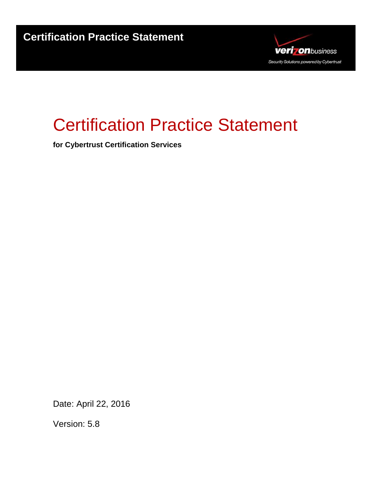

# Certification Practice Statement

**for Cybertrust Certification Services** 

Date: April 22, 2016

Version: 5.8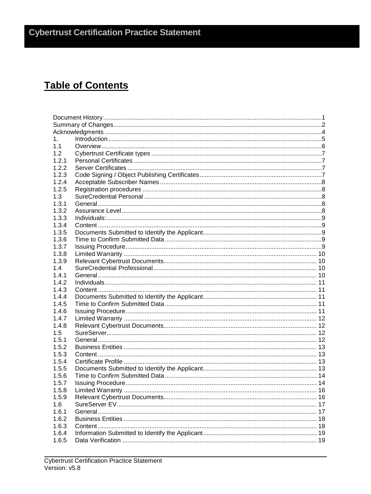# **Table of Contents**

| 1.    |  |  |  |
|-------|--|--|--|
| 1.1   |  |  |  |
| 1.2   |  |  |  |
| 1.2.1 |  |  |  |
| 1.2.2 |  |  |  |
| 1.2.3 |  |  |  |
| 1.2.4 |  |  |  |
| 1.2.5 |  |  |  |
| 1.3   |  |  |  |
| 1.3.1 |  |  |  |
| 1.3.2 |  |  |  |
| 1.3.3 |  |  |  |
| 1.3.4 |  |  |  |
| 1.3.5 |  |  |  |
| 1.3.6 |  |  |  |
| 1.3.7 |  |  |  |
| 1.3.8 |  |  |  |
| 1.3.9 |  |  |  |
| 1.4   |  |  |  |
| 1.4.1 |  |  |  |
| 1.4.2 |  |  |  |
| 1.4.3 |  |  |  |
| 1.4.4 |  |  |  |
| 1.4.5 |  |  |  |
| 1.4.6 |  |  |  |
| 1.4.7 |  |  |  |
| 1.4.8 |  |  |  |
| 1.5   |  |  |  |
| 1.5.1 |  |  |  |
| 1.5.2 |  |  |  |
| 1.5.3 |  |  |  |
| 1.5.4 |  |  |  |
| 1.5.5 |  |  |  |
| 1.5.6 |  |  |  |
| 1.5.7 |  |  |  |
| 1.5.8 |  |  |  |
| 1.5.9 |  |  |  |
| 1.6   |  |  |  |
| 1.6.1 |  |  |  |
| 1.6.2 |  |  |  |
| 1.6.3 |  |  |  |
| 1.6.4 |  |  |  |
| 1.6.5 |  |  |  |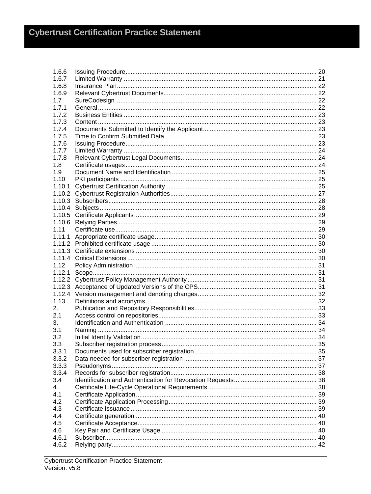| 1.6.6  |  |
|--------|--|
| 1.6.7  |  |
| 1.6.8  |  |
| 1.6.9  |  |
| 1.7    |  |
| 1.7.1  |  |
| 1.7.2  |  |
| 1.7.3  |  |
| 1.7.4  |  |
| 1.7.5  |  |
| 1.7.6  |  |
| 1.7.7  |  |
| 1.7.8  |  |
| 1.8    |  |
| 1.9    |  |
| 1.10   |  |
| 1.10.1 |  |
|        |  |
|        |  |
|        |  |
|        |  |
|        |  |
|        |  |
| 1.11   |  |
|        |  |
|        |  |
|        |  |
|        |  |
| 1.12   |  |
| 1.12.1 |  |
|        |  |
|        |  |
|        |  |
| 1.13   |  |
| 2.     |  |
| 2.1    |  |
| 3.     |  |
| 3.1    |  |
| 3.2    |  |
| 3.3    |  |
| 3.3.1  |  |
| 3.3.2  |  |
| 3.3.3  |  |
| 3.3.4  |  |
| 3.4    |  |
| 4.     |  |
| 4.1    |  |
| 4.2    |  |
| 4.3    |  |
| 4.4    |  |
|        |  |
| 4.5    |  |
| 4.6    |  |
| 4.6.1  |  |
| 4.6.2  |  |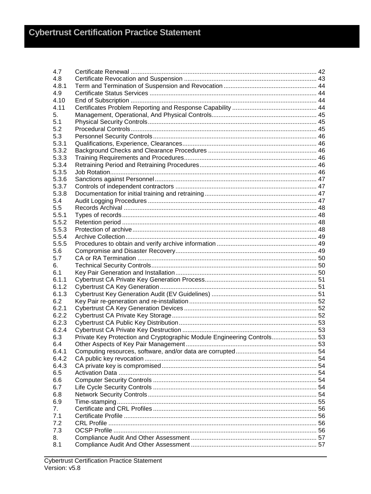| 4.7   |                                                                         |  |
|-------|-------------------------------------------------------------------------|--|
| 4.8   |                                                                         |  |
| 4.8.1 |                                                                         |  |
| 4.9   |                                                                         |  |
| 4.10  |                                                                         |  |
| 4.11  |                                                                         |  |
| 5.    |                                                                         |  |
| 5.1   |                                                                         |  |
| 5.2   |                                                                         |  |
| 5.3   |                                                                         |  |
| 5.3.1 |                                                                         |  |
| 5.3.2 |                                                                         |  |
| 5.3.3 |                                                                         |  |
| 5.3.4 |                                                                         |  |
| 5.3.5 |                                                                         |  |
| 5.3.6 |                                                                         |  |
| 5.3.7 |                                                                         |  |
|       |                                                                         |  |
| 5.3.8 |                                                                         |  |
| 5.4   |                                                                         |  |
| 5.5   |                                                                         |  |
| 5.5.1 |                                                                         |  |
| 5.5.2 |                                                                         |  |
| 5.5.3 |                                                                         |  |
| 5.5.4 |                                                                         |  |
| 5.5.5 |                                                                         |  |
| 5.6   |                                                                         |  |
| 5.7   |                                                                         |  |
| 6.    |                                                                         |  |
| 6.1   |                                                                         |  |
| 6.1.1 |                                                                         |  |
| 6.1.2 |                                                                         |  |
| 6.1.3 |                                                                         |  |
| 6.2   |                                                                         |  |
| 6.2.1 |                                                                         |  |
| 6.2.2 |                                                                         |  |
| 6.2.3 |                                                                         |  |
| 6.2.4 |                                                                         |  |
| 6.3   | Private Key Protection and Cryptographic Module Engineering Controls 53 |  |
| 6.4   |                                                                         |  |
| 6.4.1 |                                                                         |  |
| 6.4.2 |                                                                         |  |
| 6.4.3 |                                                                         |  |
| 6.5   |                                                                         |  |
| 6.6   |                                                                         |  |
| 6.7   |                                                                         |  |
| 6.8   |                                                                         |  |
|       |                                                                         |  |
| 6.9   |                                                                         |  |
| 7.    |                                                                         |  |
| 7.1   |                                                                         |  |
| 7.2   |                                                                         |  |
| 7.3   |                                                                         |  |
| 8.    |                                                                         |  |
| 8.1   |                                                                         |  |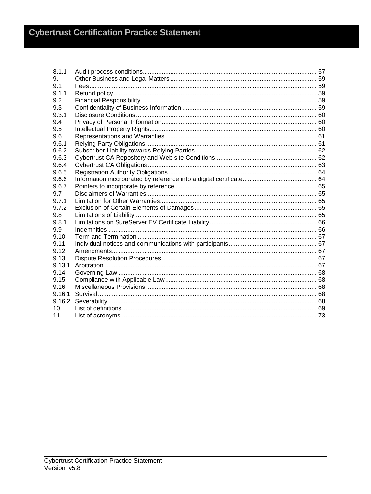| 8.1.1  |  |
|--------|--|
| 9.     |  |
| 9.1    |  |
| 9.1.1  |  |
| 9.2    |  |
| 9.3    |  |
| 9.3.1  |  |
| 9.4    |  |
| 9.5    |  |
| 9.6    |  |
| 9.6.1  |  |
| 9.6.2  |  |
| 9.6.3  |  |
| 9.6.4  |  |
| 9.6.5  |  |
| 9.6.6  |  |
| 9.6.7  |  |
| 9.7    |  |
| 9.7.1  |  |
| 9.7.2  |  |
| 9.8    |  |
| 9.8.1  |  |
| 9.9    |  |
| 9.10   |  |
| 9.11   |  |
| 9.12   |  |
| 9.13   |  |
| 9.13.1 |  |
| 9.14   |  |
| 9.15   |  |
| 9.16   |  |
| 9.16.1 |  |
| 9.16.2 |  |
| 10.    |  |
| 11.    |  |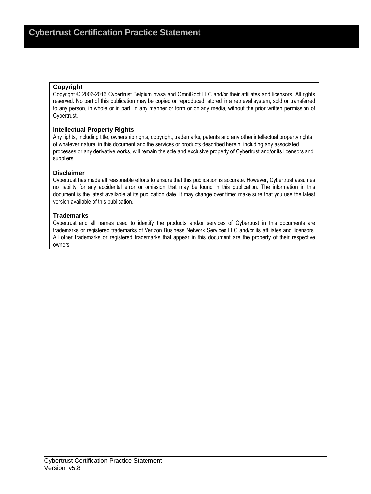#### **Copyright**

Copyright © 2006-2016 Cybertrust Belgium nv/sa and OmniRoot LLC and/or their affiliates and licensors. All rights reserved. No part of this publication may be copied or reproduced, stored in a retrieval system, sold or transferred to any person, in whole or in part, in any manner or form or on any media, without the prior written permission of Cybertrust.

#### **Intellectual Property Rights**

Any rights, including title, ownership rights, copyright, trademarks, patents and any other intellectual property rights of whatever nature, in this document and the services or products described herein, including any associated processes or any derivative works, will remain the sole and exclusive property of Cybertrust and/or its licensors and suppliers.

#### **Disclaimer**

Cybertrust has made all reasonable efforts to ensure that this publication is accurate. However, Cybertrust assumes no liability for any accidental error or omission that may be found in this publication. The information in this document is the latest available at its publication date. It may change over time; make sure that you use the latest version available of this publication.

#### **Trademarks**

Cybertrust and all names used to identify the products and/or services of Cybertrust in this documents are trademarks or registered trademarks of Verizon Business Network Services LLC and/or its affiliates and licensors. All other trademarks or registered trademarks that appear in this document are the property of their respective owners.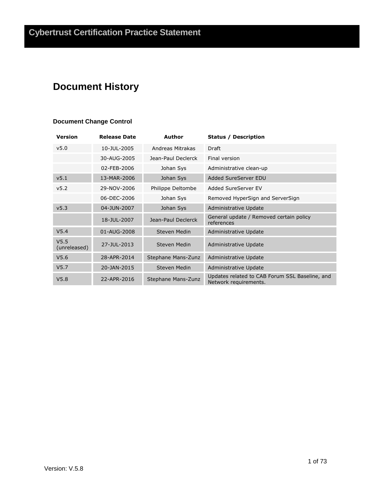# **Document History**

### **Document Change Control**

| <b>Version</b>                   | <b>Release Date</b> | Author              | <b>Status / Description</b>                                             |
|----------------------------------|---------------------|---------------------|-------------------------------------------------------------------------|
| v5.0                             | 10-JUL-2005         | Andreas Mitrakas    | Draft                                                                   |
|                                  | 30-AUG-2005         | Jean-Paul Declerck  | Final version                                                           |
|                                  | 02-FEB-2006         | Johan Sys           | Administrative clean-up                                                 |
| v5.1                             | 13-MAR-2006         | Johan Sys           | Added SureServer EDU                                                    |
| v <sub>5.2</sub>                 | 29-NOV-2006         | Philippe Deltombe   | Added SureServer EV                                                     |
|                                  | 06-DEC-2006         | Johan Sys           | Removed HyperSign and ServerSign                                        |
| v <sub>5.3</sub>                 | 04-JUN-2007         | Johan Sys           | Administrative Update                                                   |
|                                  | 18-JUL-2007         | Jean-Paul Declerck  | General update / Removed certain policy<br>references                   |
| V <sub>5.4</sub>                 | 01-AUG-2008         | <b>Steven Medin</b> | Administrative Update                                                   |
| V <sub>5.5</sub><br>(unreleased) | 27-JUL-2013         | Steven Medin        | Administrative Update                                                   |
| V5.6                             | 28-APR-2014         | Stephane Mans-Zunz  | Administrative Update                                                   |
| V <sub>5.7</sub>                 | 20-JAN-2015         | Steven Medin        | Administrative Update                                                   |
| V5.8                             | 22-APR-2016         | Stephane Mans-Zunz  | Updates related to CAB Forum SSL Baseline, and<br>Network requirements. |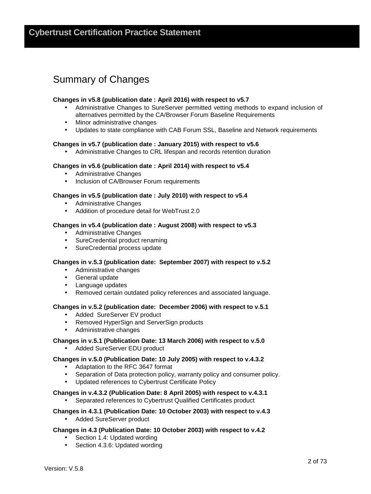# Summary of Changes

#### **Changes in v5.8 (publication date : April 2016) with respect to v5.7**

- Administrative Changes to SureServer permitted vetting methods to expand inclusion of alternatives permitted by the CA/Browser Forum Baseline Requirements
- Minor administrative changes
- Updates to state compliance with CAB Forum SSL, Baseline and Network requirements

#### **Changes in v5.7 (publication date : January 2015) with respect to v5.6**

• Administrative Changes to CRL lifespan and records retention duration

#### **Changes in v5.6 (publication date : April 2014) with respect to v5.4**

- Administrative Changes
- Inclusion of CA/Browser Forum requirements

#### **Changes in v5.5 (publication date : July 2010) with respect to v5.4**

- Administrative Changes
- Addition of procedure detail for WebTrust 2.0

#### **Changes in v5.4 (publication date : August 2008) with respect to v5.3**

- Administrative Changes
- SureCredential product renaming
- SureCredential process update

#### **Changes in v.5.3 (publication date: September 2007) with respect to v.5.2**

- Administrative changes
- General update
- Language updates
- Removed certain outdated policy references and associated language.

#### **Changes in v.5.2 (publication date: December 2006) with respect to v.5.1**

- Added SureServer EV product
- Removed HyperSign and ServerSign products
- Administrative changes

#### **Changes in v.5.1 (Publication Date: 13 March 2006) with respect to v.5.0**

• Added SureServer EDU product

#### **Changes in v.5.0 (Publication Date: 10 July 2005) with respect to v.4.3.2**

- Adaptation to the RFC 3647 format
- Separation of Data protection policy, warranty policy and consumer policy.
- Updated references to Cybertrust Certificate Policy

#### **Changes in v.4.3.2 (Publication Date: 8 April 2005) with respect to v.4.3.1**

Separated references to Cybertrust Qualified Certificates product

#### **Changes in 4.3.1 (Publication Date: 10 October 2003) with respect to v.4.3**  • Added SureServer product

#### **Changes in 4.3 (Publication Date: 10 October 2003) with respect to v.4.2**

- Section 1.4: Updated wording
- Section 4.3.6: Updated wording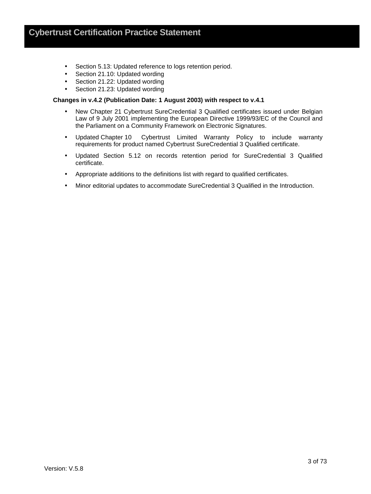- Section 5.13: Updated reference to logs retention period.
- Section 21.10: Updated wording
- Section 21.22: Updated wording
- Section 21.23: Updated wording

#### **Changes in v.4.2 (Publication Date: 1 August 2003) with respect to v.4.1**

- New Chapter 21 Cybertrust SureCredential 3 Qualified certificates issued under Belgian Law of 9 July 2001 implementing the European Directive 1999/93/EC of the Council and the Parliament on a Community Framework on Electronic Signatures.
- Updated Chapter 10 Cybertrust Limited Warranty Policy to include warranty requirements for product named Cybertrust SureCredential 3 Qualified certificate.
- Updated Section 5.12 on records retention period for SureCredential 3 Qualified certificate.
- Appropriate additions to the definitions list with regard to qualified certificates.
- Minor editorial updates to accommodate SureCredential 3 Qualified in the Introduction.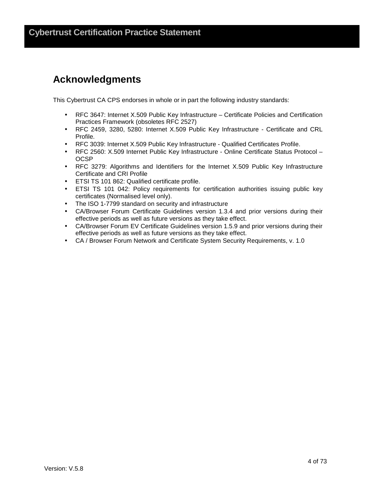# **Acknowledgments**

This Cybertrust CA CPS endorses in whole or in part the following industry standards:

- RFC 3647: Internet X.509 Public Key Infrastructure Certificate Policies and Certification Practices Framework (obsoletes RFC 2527)
- RFC 2459, 3280, 5280: Internet X.509 Public Key Infrastructure Certificate and CRL Profile.
- RFC 3039: Internet X.509 Public Key Infrastructure Qualified Certificates Profile.
- RFC 2560: X.509 Internet Public Key Infrastructure Online Certificate Status Protocol **OCSP**
- RFC 3279: Algorithms and Identifiers for the Internet X.509 Public Key Infrastructure Certificate and CRI Profile
- ETSI TS 101 862: Qualified certificate profile.
- ETSI TS 101 042: Policy requirements for certification authorities issuing public key certificates (Normalised level only).
- The ISO 1-7799 standard on security and infrastructure
- CA/Browser Forum Certificate Guidelines version 1.3.4 and prior versions during their effective periods as well as future versions as they take effect.
- CA/Browser Forum EV Certificate Guidelines version 1.5.9 and prior versions during their effective periods as well as future versions as they take effect.
- CA / Browser Forum Network and Certificate System Security Requirements, v. 1.0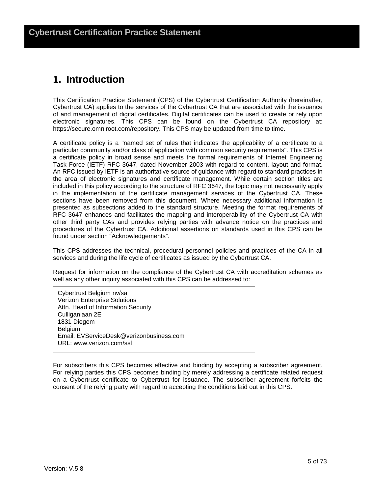# **1. Introduction**

This Certification Practice Statement (CPS) of the Cybertrust Certification Authority (hereinafter, Cybertrust CA) applies to the services of the Cybertrust CA that are associated with the issuance of and management of digital certificates. Digital certificates can be used to create or rely upon electronic signatures. This CPS can be found on the Cybertrust CA repository at: https://secure.omniroot.com/repository. This CPS may be updated from time to time.

A certificate policy is a "named set of rules that indicates the applicability of a certificate to a particular community and/or class of application with common security requirements". This CPS is a certificate policy in broad sense and meets the formal requirements of Internet Engineering Task Force (IETF) RFC 3647, dated November 2003 with regard to content, layout and format. An RFC issued by IETF is an authoritative source of guidance with regard to standard practices in the area of electronic signatures and certificate management. While certain section titles are included in this policy according to the structure of RFC 3647, the topic may not necessarily apply in the implementation of the certificate management services of the Cybertrust CA. These sections have been removed from this document. Where necessary additional information is presented as subsections added to the standard structure. Meeting the format requirements of RFC 3647 enhances and facilitates the mapping and interoperability of the Cybertrust CA with other third party CAs and provides relying parties with advance notice on the practices and procedures of the Cybertrust CA. Additional assertions on standards used in this CPS can be found under section "Acknowledgements".

This CPS addresses the technical, procedural personnel policies and practices of the CA in all services and during the life cycle of certificates as issued by the Cybertrust CA.

Request for information on the compliance of the Cybertrust CA with accreditation schemes as well as any other inquiry associated with this CPS can be addressed to:

Cybertrust Belgium nv/sa Verizon Enterprise Solutions Attn. Head of Information Security Culliganlaan 2E 1831 Diegem Belgium Email: EVServiceDesk@verizonbusiness.com URL: www.verizon.com/ssl

For subscribers this CPS becomes effective and binding by accepting a subscriber agreement. For relying parties this CPS becomes binding by merely addressing a certificate related request on a Cybertrust certificate to Cybertrust for issuance. The subscriber agreement forfeits the consent of the relying party with regard to accepting the conditions laid out in this CPS.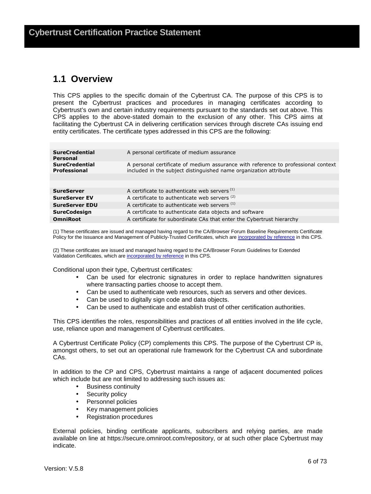### **1.1 Overview**

This CPS applies to the specific domain of the Cybertrust CA. The purpose of this CPS is to present the Cybertrust practices and procedures in managing certificates according to Cybertrust's own and certain industry requirements pursuant to the standards set out above. This CPS applies to the above-stated domain to the exclusion of any other. This CPS aims at facilitating the Cybertrust CA in delivering certification services through discrete CAs issuing end entity certificates. The certificate types addressed in this CPS are the following:

| <b>SureCredential</b><br>Personal     | A personal certificate of medium assurance                                                                                                             |
|---------------------------------------|--------------------------------------------------------------------------------------------------------------------------------------------------------|
| <b>SureCredential</b><br>Professional | A personal certificate of medium assurance with reference to professional context<br>included in the subject distinguished name organization attribute |
|                                       |                                                                                                                                                        |
|                                       |                                                                                                                                                        |
| <b>SureServer</b>                     | A certificate to authenticate web servers <sup>(1)</sup>                                                                                               |
| <b>SureServer EV</b>                  | A certificate to authenticate web servers (2)                                                                                                          |
| <b>SureServer EDU</b>                 | A certificate to authenticate web servers (1)                                                                                                          |
| <b>SureCodesign</b>                   | A certificate to authenticate data objects and software                                                                                                |
| <b>OmniRoot</b>                       | A certificate for subordinate CAs that enter the Cybertrust hierarchy                                                                                  |

(1) These certificates are issued and managed having regard to the CA/Browser Forum Baseline Requirements Certificate Policy for the Issuance and Management of Publicly-Trusted Certificates, which are incorporated by reference in this CPS.

(2) These certificates are issued and managed having regard to the CA/Browser Forum Guidelines for Extended Validation Certificates, which are incorporated by reference in this CPS.

Conditional upon their type, Cybertrust certificates:

- Can be used for electronic signatures in order to replace handwritten signatures where transacting parties choose to accept them.
- Can be used to authenticate web resources, such as servers and other devices.
- Can be used to digitally sign code and data objects.
- Can be used to authenticate and establish trust of other certification authorities.

This CPS identifies the roles, responsibilities and practices of all entities involved in the life cycle, use, reliance upon and management of Cybertrust certificates.

A Cybertrust Certificate Policy (CP) complements this CPS. The purpose of the Cybertrust CP is, amongst others, to set out an operational rule framework for the Cybertrust CA and subordinate CAs.

In addition to the CP and CPS, Cybertrust maintains a range of adjacent documented polices which include but are not limited to addressing such issues as:

- Business continuity
- Security policy
- Personnel policies
- Key management policies
- Registration procedures

External policies, binding certificate applicants, subscribers and relying parties, are made available on line at https://secure.omniroot.com/repository, or at such other place Cybertrust may indicate.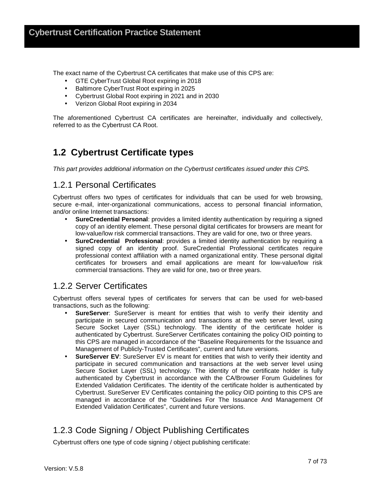The exact name of the Cybertrust CA certificates that make use of this CPS are:

- GTE CyberTrust Global Root expiring in 2018
- Baltimore CyberTrust Root expiring in 2025
- Cybertrust Global Root expiring in 2021 and in 2030
- Verizon Global Root expiring in 2034

The aforementioned Cybertrust CA certificates are hereinafter, individually and collectively, referred to as the Cybertrust CA Root.

# **1.2 Cybertrust Certificate types**

This part provides additional information on the Cybertrust certificates issued under this CPS.

### 1.2.1 Personal Certificates

Cybertrust offers two types of certificates for individuals that can be used for web browsing, secure e-mail, inter-organizational communications, access to personal financial information, and/or online Internet transactions:

- **SureCredential Personal**: provides a limited identity authentication by requiring a signed copy of an identity element. These personal digital certificates for browsers are meant for low-value/low risk commercial transactions. They are valid for one, two or three years.
- **SureCredential Professional**: provides a limited identity authentication by requiring a signed copy of an identity proof. SureCredential Professional certificates require professional context affiliation with a named organizational entity. These personal digital certificates for browsers and email applications are meant for low-value/low risk commercial transactions. They are valid for one, two or three years.

### 1.2.2 Server Certificates

Cybertrust offers several types of certificates for servers that can be used for web-based transactions, such as the following:

- **SureServer**: SureServer is meant for entities that wish to verify their identity and participate in secured communication and transactions at the web server level, using Secure Socket Layer (SSL) technology. The identity of the certificate holder is authenticated by Cybertrust. SureServer Certificates containing the policy OID pointing to this CPS are managed in accordance of the "Baseline Requirements for the Issuance and Management of Publicly-Trusted Certificates", current and future versions.
- **SureServer EV:** SureServer EV is meant for entities that wish to verify their identity and participate in secured communication and transactions at the web server level using Secure Socket Layer (SSL) technology. The identity of the certificate holder is fully authenticated by Cybertrust in accordance with the CA/Browser Forum Guidelines for Extended Validation Certificates. The identity of the certificate holder is authenticated by Cybertrust. SureServer EV Certificates containing the policy OID pointing to this CPS are managed in accordance of the "Guidelines For The Issuance And Management Of Extended Validation Certificates", current and future versions.

# 1.2.3 Code Signing / Object Publishing Certificates

Cybertrust offers one type of code signing / object publishing certificate: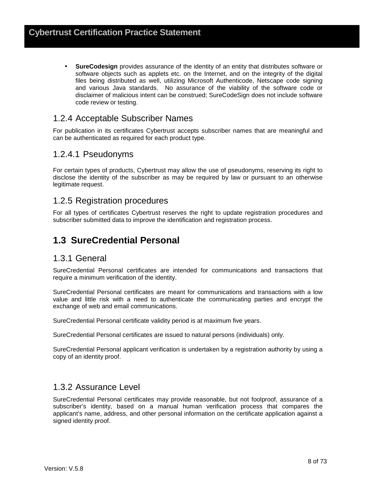• **SureCodesign** provides assurance of the identity of an entity that distributes software or software objects such as applets etc. on the Internet, and on the integrity of the digital files being distributed as well, utilizing Microsoft Authenticode, Netscape code signing and various Java standards. No assurance of the viability of the software code or disclaimer of malicious intent can be construed; SureCodeSign does not include software code review or testing.

### 1.2.4 Acceptable Subscriber Names

For publication in its certificates Cybertrust accepts subscriber names that are meaningful and can be authenticated as required for each product type.

### 1.2.4.1 Pseudonyms

For certain types of products, Cybertrust may allow the use of pseudonyms, reserving its right to disclose the identity of the subscriber as may be required by law or pursuant to an otherwise legitimate request.

### 1.2.5 Registration procedures

For all types of certificates Cybertrust reserves the right to update registration procedures and subscriber submitted data to improve the identification and registration process.

### **1.3 SureCredential Personal**

### 1.3.1 General

SureCredential Personal certificates are intended for communications and transactions that require a minimum verification of the identity.

SureCredential Personal certificates are meant for communications and transactions with a low value and little risk with a need to authenticate the communicating parties and encrypt the exchange of web and email communications.

SureCredential Personal certificate validity period is at maximum five years.

SureCredential Personal certificates are issued to natural persons (individuals) only.

SureCredential Personal applicant verification is undertaken by a registration authority by using a copy of an identity proof.

### 1.3.2 Assurance Level

SureCredential Personal certificates may provide reasonable, but not foolproof, assurance of a subscriber's identity, based on a manual human verification process that compares the applicant's name, address, and other personal information on the certificate application against a signed identity proof.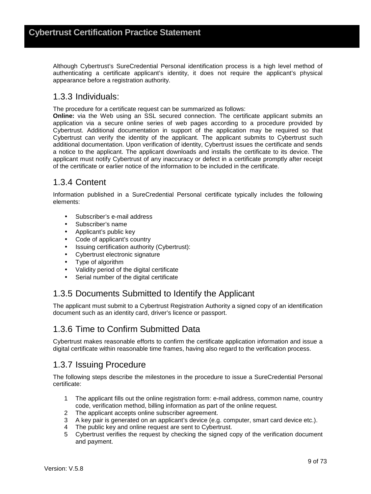Although Cybertrust's SureCredential Personal identification process is a high level method of authenticating a certificate applicant's identity, it does not require the applicant's physical appearance before a registration authority.

### 1.3.3 Individuals:

The procedure for a certificate request can be summarized as follows:

**Online:** via the Web using an SSL secured connection. The certificate applicant submits an application via a secure online series of web pages according to a procedure provided by Cybertrust. Additional documentation in support of the application may be required so that Cybertrust can verify the identity of the applicant. The applicant submits to Cybertrust such additional documentation. Upon verification of identity, Cybertrust issues the certificate and sends a notice to the applicant. The applicant downloads and installs the certificate to its device. The applicant must notify Cybertrust of any inaccuracy or defect in a certificate promptly after receipt of the certificate or earlier notice of the information to be included in the certificate.

### 1.3.4 Content

Information published in a SureCredential Personal certificate typically includes the following elements:

- Subscriber's e-mail address
- Subscriber's name
- Applicant's public key
- Code of applicant's country
- Issuing certification authority (Cybertrust):
- Cybertrust electronic signature
- Type of algorithm
- Validity period of the digital certificate
- Serial number of the digital certificate

### 1.3.5 Documents Submitted to Identify the Applicant

The applicant must submit to a Cybertrust Registration Authority a signed copy of an identification document such as an identity card, driver's licence or passport.

### 1.3.6 Time to Confirm Submitted Data

Cybertrust makes reasonable efforts to confirm the certificate application information and issue a digital certificate within reasonable time frames, having also regard to the verification process.

### 1.3.7 Issuing Procedure

The following steps describe the milestones in the procedure to issue a SureCredential Personal certificate:

- 1 The applicant fills out the online registration form: e-mail address, common name, country code, verification method, billing information as part of the online request.
- 2 The applicant accepts online subscriber agreement.
- 3 A key pair is generated on an applicant's device (e.g. computer, smart card device etc.).
- 4 The public key and online request are sent to Cybertrust.
- 5 Cybertrust verifies the request by checking the signed copy of the verification document and payment.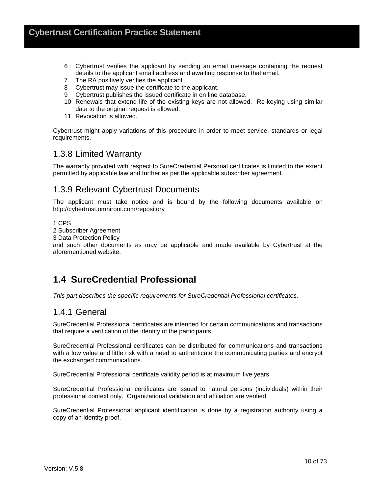- 6 Cybertrust verifies the applicant by sending an email message containing the request details to the applicant email address and awaiting response to that email.
- 7 The RA positively verifies the applicant.
- 8 Cybertrust may issue the certificate to the applicant.
- 9 Cybertrust publishes the issued certificate in on line database.
- 10 Renewals that extend life of the existing keys are not allowed. Re-keying using similar data to the original request is allowed.
- 11 Revocation is allowed.

Cybertrust might apply variations of this procedure in order to meet service, standards or legal requirements.

### 1.3.8 Limited Warranty

The warranty provided with respect to SureCredential Personal certificates is limited to the extent permitted by applicable law and further as per the applicable subscriber agreement.

### 1.3.9 Relevant Cybertrust Documents

The applicant must take notice and is bound by the following documents available on http://cybertrust.omniroot.com/repository

#### 1 CPS

2 Subscriber Agreement

3 Data Protection Policy

and such other documents as may be applicable and made available by Cybertrust at the aforementioned website.

# **1.4 SureCredential Professional**

This part describes the specific requirements for SureCredential Professional certificates.

### 1.4.1 General

SureCredential Professional certificates are intended for certain communications and transactions that require a verification of the identity of the participants.

SureCredential Professional certificates can be distributed for communications and transactions with a low value and little risk with a need to authenticate the communicating parties and encrypt the exchanged communications.

SureCredential Professional certificate validity period is at maximum five years.

SureCredential Professional certificates are issued to natural persons (individuals) within their professional context only. Organizational validation and affiliation are verified.

SureCredential Professional applicant identification is done by a registration authority using a copy of an identity proof.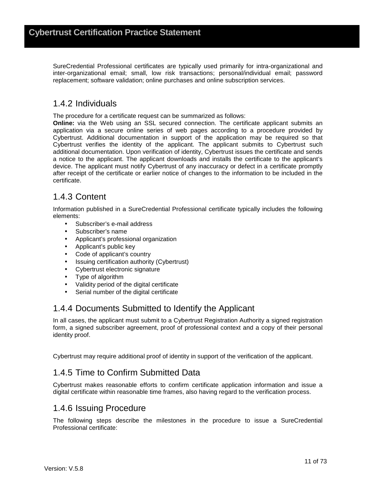SureCredential Professional certificates are typically used primarily for intra-organizational and inter-organizational email; small, low risk transactions; personal/individual email; password replacement; software validation; online purchases and online subscription services.

### 1.4.2 Individuals

The procedure for a certificate request can be summarized as follows:

**Online:** via the Web using an SSL secured connection. The certificate applicant submits an application via a secure online series of web pages according to a procedure provided by Cybertrust. Additional documentation in support of the application may be required so that Cybertrust verifies the identity of the applicant. The applicant submits to Cybertrust such additional documentation. Upon verification of identity, Cybertrust issues the certificate and sends a notice to the applicant. The applicant downloads and installs the certificate to the applicant's device. The applicant must notify Cybertrust of any inaccuracy or defect in a certificate promptly after receipt of the certificate or earlier notice of changes to the information to be included in the certificate.

### 1.4.3 Content

Information published in a SureCredential Professional certificate typically includes the following elements:

- Subscriber's e-mail address
- Subscriber's name
- Applicant's professional organization
- Applicant's public key
- Code of applicant's country
- Issuing certification authority (Cybertrust)
- Cybertrust electronic signature
- Type of algorithm
- Validity period of the digital certificate
- Serial number of the digital certificate

### 1.4.4 Documents Submitted to Identify the Applicant

In all cases, the applicant must submit to a Cybertrust Registration Authority a signed registration form, a signed subscriber agreement, proof of professional context and a copy of their personal identity proof.

Cybertrust may require additional proof of identity in support of the verification of the applicant.

### 1.4.5 Time to Confirm Submitted Data

Cybertrust makes reasonable efforts to confirm certificate application information and issue a digital certificate within reasonable time frames, also having regard to the verification process.

### 1.4.6 Issuing Procedure

The following steps describe the milestones in the procedure to issue a SureCredential Professional certificate: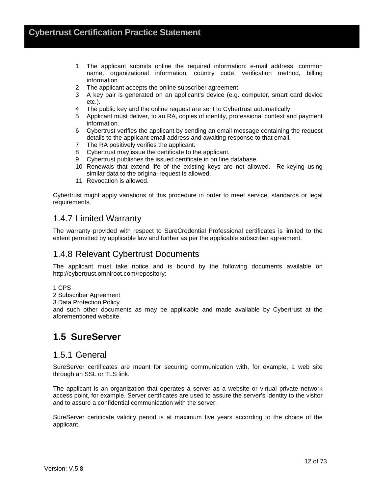- 1 The applicant submits online the required information: e-mail address, common name, organizational information, country code, verification method, billing information.
- 2 The applicant accepts the online subscriber agreement.
- 3 A key pair is generated on an applicant's device (e.g. computer, smart card device etc.).
- 4 The public key and the online request are sent to Cybertrust automatically
- 5 Applicant must deliver, to an RA, copies of identity, professional context and payment information.
- 6 Cybertrust verifies the applicant by sending an email message containing the request details to the applicant email address and awaiting response to that email.
- 7 The RA positively verifies the applicant.
- 8 Cybertrust may issue the certificate to the applicant.
- 9 Cybertrust publishes the issued certificate in on line database.
- 10 Renewals that extend life of the existing keys are not allowed. Re-keying using similar data to the original request is allowed.
- 11 Revocation is allowed.

Cybertrust might apply variations of this procedure in order to meet service, standards or legal requirements.

### 1.4.7 Limited Warranty

The warranty provided with respect to SureCredential Professional certificates is limited to the extent permitted by applicable law and further as per the applicable subscriber agreement.

### 1.4.8 Relevant Cybertrust Documents

The applicant must take notice and is bound by the following documents available on http://cybertrust.omniroot.com/repository:

1 CPS

2 Subscriber Agreement

3 Data Protection Policy

and such other documents as may be applicable and made available by Cybertrust at the aforementioned website.

# **1.5 SureServer**

### 1.5.1 General

SureServer certificates are meant for securing communication with, for example, a web site through an SSL or TLS link.

The applicant is an organization that operates a server as a website or virtual private network access point, for example. Server certificates are used to assure the server's identity to the visitor and to assure a confidential communication with the server.

SureServer certificate validity period is at maximum five years according to the choice of the applicant.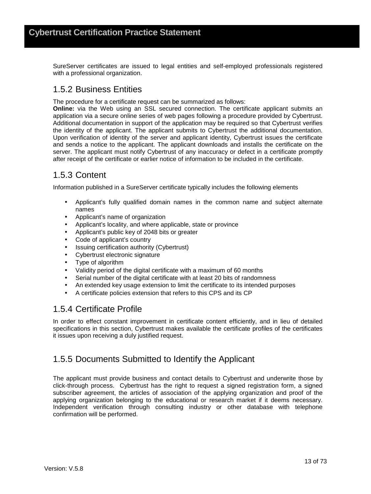SureServer certificates are issued to legal entities and self-employed professionals registered with a professional organization.

### 1.5.2 Business Entities

The procedure for a certificate request can be summarized as follows:

**Online:** via the Web using an SSL secured connection. The certificate applicant submits an application via a secure online series of web pages following a procedure provided by Cybertrust. Additional documentation in support of the application may be required so that Cybertrust verifies the identity of the applicant. The applicant submits to Cybertrust the additional documentation. Upon verification of identity of the server and applicant identity, Cybertrust issues the certificate and sends a notice to the applicant. The applicant downloads and installs the certificate on the server. The applicant must notify Cybertrust of any inaccuracy or defect in a certificate promptly after receipt of the certificate or earlier notice of information to be included in the certificate.

### 1.5.3 Content

Information published in a SureServer certificate typically includes the following elements

- Applicant's fully qualified domain names in the common name and subject alternate names
- Applicant's name of organization
- Applicant's locality, and where applicable, state or province
- Applicant's public key of 2048 bits or greater
- Code of applicant's country
- Issuing certification authority (Cybertrust)
- Cybertrust electronic signature
- Type of algorithm
- Validity period of the digital certificate with a maximum of 60 months
- Serial number of the digital certificate with at least 20 bits of randomness
- An extended key usage extension to limit the certificate to its intended purposes
- A certificate policies extension that refers to this CPS and its CP

### 1.5.4 Certificate Profile

In order to effect constant improvement in certificate content efficiently, and in lieu of detailed specifications in this section, Cybertrust makes available the certificate profiles of the certificates it issues upon receiving a duly justified request.

### 1.5.5 Documents Submitted to Identify the Applicant

The applicant must provide business and contact details to Cybertrust and underwrite those by click-through process. Cybertrust has the right to request a signed registration form, a signed subscriber agreement, the articles of association of the applying organization and proof of the applying organization belonging to the educational or research market if it deems necessary. Independent verification through consulting industry or other database with telephone confirmation will be performed.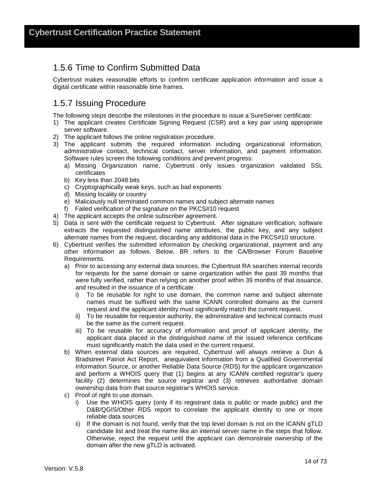### 1.5.6 Time to Confirm Submitted Data

Cybertrust makes reasonable efforts to confirm certificate application information and issue a digital certificate within reasonable time frames.

### 1.5.7 Issuing Procedure

The following steps describe the milestones in the procedure to issue a SureServer certificate:

- 1) The applicant creates Certificate Signing Request (CSR) and a key pair using appropriate server software.
- 2) The applicant follows the online registration procedure.
- 3) The applicant submits the required information including organizational information, administrative contact, technical contact, server information, and payment information. Software rules screen the following conditions and prevent progress:
	- a) Missing Organization name, Cybertrust only issues organization validated SSL certificates
	- b) Key less than 2048 bits
	- c) Cryptographically weak keys, such as bad exponents
	- d) Missing locality or country
	- e) Maliciously null terminated common names and subject alternate names
	- f) Failed verification of the signature on the PKCS#10 request
- 4) The applicant accepts the online subscriber agreement.
- 5) Data is sent with the certificate request to Cybertrust. After signature verification, software extracts the requested distinguished name attributes, the public key, and any subject alternate names from the request, discarding any additional data in the PKCS#10 structure.
- 6) Cybertrust verifies the submitted information by checking organizational, payment and any other information as follows. Below, BR refers to the CA/Browser Forum Baseline Requirements.
	- a) Prior to accessing any external data sources, the Cybertrust RA searches internal records for requests for the same domain or same organization within the past 39 months that were fully verified, rather than relying on another proof within 39 months of that issuance, and resulted in the issuance of a certificate.
		- i) To be reusable for right to use domain, the common name and subject alternate names must be suffixed with the same ICANN controlled domains as the current request and the applicant identity must significantly match the current request.
		- ii) To be reusable for requestor authority, the administrative and technical contacts must be the same as the current request.
		- iii) To be reusable for accuracy of information and proof of applicant identity, the applicant data placed in the distinguished name of the issued reference certificate must significantly match the data used in the current request.
	- b) When external data sources are required, Cybertrust will always retrieve a Dun & Bradstreet Patriot Act Report, anequivalent information from a Qualified Governmental Information Source, or another Reliable Data Source (RDS) for the applicant organization and perform a WHOIS query that (1) begins at any ICANN certified registrar's query facility (2) determines the source registrar and (3) retrieves authoritative domain ownership data from that source registrar's WHOIS service.
	- c) Proof of right to use domain.
		- i) Use the WHOIS query (only if its registrant data is public or made public) and the D&B/QGIS/Other RDS report to correlate the applicant identity to one or more reliable data sources
		- ii) If the domain is not found, verify that the top level domain is not on the ICANN gTLD candidate list and treat the name like an internal server name in the steps that follow. Otherwise, reject the request until the applicant can demonstrate ownership of the domain after the new gTLD is activated.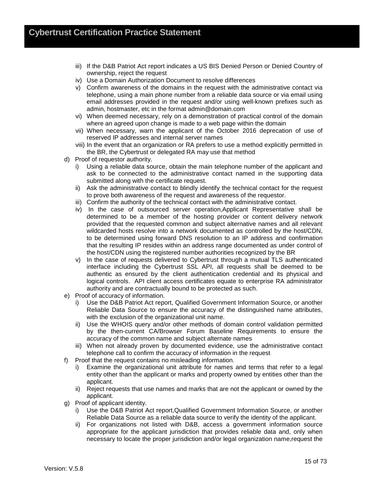- iii) If the D&B Patriot Act report indicates a US BIS Denied Person or Denied Country of ownership, reject the request
- iv) Use a Domain Authorization Document to resolve differences
- v) Confirm awareness of the domains in the request with the administrative contact via telephone, using a main phone number from a reliable data source or via email using email addresses provided in the request and/or using well-known prefixes such as admin, hostmaster, etc in the format admin@domain.com
- vi) When deemed necessary, rely on a demonstration of practical control of the domain where an agreed upon change is made to a web page within the domain
- vii) When necessary, warn the applicant of the October 2016 deprecation of use of reserved IP addresses and internal server names
- viii) In the event that an organization or RA prefers to use a method explicitly permitted in the BR, the Cybertrust or delegated RA may use that method
- d) Proof of requestor authority.
	- i) Using a reliable data source, obtain the main telephone number of the applicant and ask to be connected to the administrative contact named in the supporting data submitted along with the certificate request.
	- ii) Ask the administrative contact to blindly identify the technical contact for the request to prove both awareness of the request and awareness of the requestor.
	- iii) Confirm the authority of the technical contact with the administrative contact.
	- iv) In the case of outsourced server operation,Applicant Representative shall be determined to be a member of the hosting provider or content delivery network provided that the requested common and subject alternative names and all relevant wildcarded hosts resolve into a network documented as controlled by the host/CDN, to be determined using forward DNS resolution to an IP address and confirmation that the resulting IP resides within an address range documented as under control of the host/CDN using the registered number authorities recognized by the BR
	- v) In the case of requests delivered to Cybertrust through a mutual TLS authenticated interface including the Cybertrust SSL API, all requests shall be deemed to be authentic as ensured by the client authentication credential and its physical and logical controls. API client access certificates equate to enterprise RA administrator authority and are contractually bound to be protected as such.
- e) Proof of accuracy of information.
	- i) Use the D&B Patriot Act report, Qualified Government Information Source, or another Reliable Data Source to ensure the accuracy of the distinguished name attributes, with the exclusion of the organizational unit name.
	- ii) Use the WHOIS query and/or other methods of domain control validation permitted by the then-current CA/Browser Forum Baseline Requirements to ensure the accuracy of the common name and subject alternate names
	- iii) When not already proven by documented evidence, use the administrative contact telephone call to confirm the accuracy of information in the request
- f) Proof that the request contains no misleading information.
	- i) Examine the organizational unit attribute for names and terms that refer to a legal entity other than the applicant or marks and property owned by entities other than the applicant.
	- ii) Reject requests that use names and marks that are not the applicant or owned by the applicant.
- g) Proof of applicant identity.
	- i) Use the D&B Patriot Act report,Qualified Government Information Source, or another Reliable Data Source as a reliable data source to verify the identity of the applicant.
	- ii) For organizations not listed with D&B, access a government information source appropriate for the applicant jurisdiction that provides reliable data and, only when necessary to locate the proper jurisdiction and/or legal organization name,request the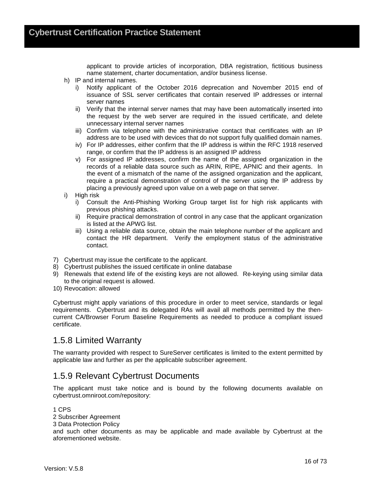applicant to provide articles of incorporation, DBA registration, fictitious business name statement, charter documentation, and/or business license.

- h) IP and internal names.
	- i) Notify applicant of the October 2016 deprecation and November 2015 end of issuance of SSL server certificates that contain reserved IP addresses or internal server names
	- ii) Verify that the internal server names that may have been automatically inserted into the request by the web server are required in the issued certificate, and delete unnecessary internal server names
	- iii) Confirm via telephone with the administrative contact that certificates with an IP address are to be used with devices that do not support fully qualified domain names.
	- iv) For IP addresses, either confirm that the IP address is within the RFC 1918 reserved range, or confirm that the IP address is an assigned IP address
	- v) For assigned IP addresses, confirm the name of the assigned organization in the records of a reliable data source such as ARIN, RIPE, APNIC and their agents. In the event of a mismatch of the name of the assigned organization and the applicant, require a practical demonstration of control of the server using the IP address by placing a previously agreed upon value on a web page on that server.
- i) High risk
	- i) Consult the Anti-Phishing Working Group target list for high risk applicants with previous phishing attacks.
	- ii) Require practical demonstration of control in any case that the applicant organization is listed at the APWG list.
	- iii) Using a reliable data source, obtain the main telephone number of the applicant and contact the HR department. Verify the employment status of the administrative contact.
- 7) Cybertrust may issue the certificate to the applicant.
- 8) Cybertrust publishes the issued certificate in online database
- 9) Renewals that extend life of the existing keys are not allowed. Re-keying using similar data to the original request is allowed.
- 10) Revocation: allowed

Cybertrust might apply variations of this procedure in order to meet service, standards or legal requirements. Cybertrust and its delegated RAs will avail all methods permitted by the thencurrent CA/Browser Forum Baseline Requirements as needed to produce a compliant issued certificate.

### 1.5.8 Limited Warranty

The warranty provided with respect to SureServer certificates is limited to the extent permitted by applicable law and further as per the applicable subscriber agreement.

### 1.5.9 Relevant Cybertrust Documents

The applicant must take notice and is bound by the following documents available on cybertrust.omniroot.com/repository:

#### 1 CPS

2 Subscriber Agreement

3 Data Protection Policy

and such other documents as may be applicable and made available by Cybertrust at the aforementioned website.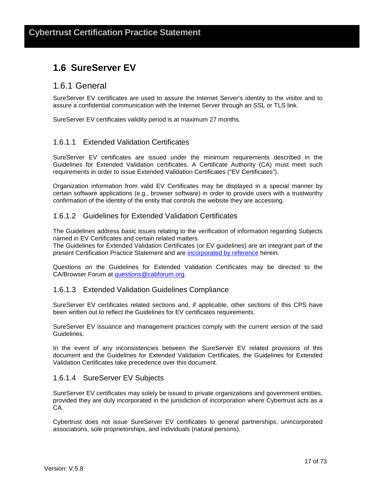# **1.6 SureServer EV**

### 1.6.1 General

SureServer EV certificates are used to assure the Internet Server's identity to the visitor and to assure a confidential communication with the Internet Server through an SSL or TLS link.

SureServer EV certificates validity period is at maximum 27 months.

#### 1.6.1.1 Extended Validation Certificates

SureServer EV certificates are issued under the minimum requirements described in the Guidelines for Extended Validation certificates. A Certificate Authority (CA) must meet such requirements in order to issue Extended Validation Certificates ("EV Certificates").

Organization information from valid EV Certificates may be displayed in a special manner by certain software applications (e.g., browser software) in order to provide users with a trustworthy confirmation of the identity of the entity that controls the website they are accessing.

#### 1.6.1.2 Guidelines for Extended Validation Certificates

The Guidelines address basic issues relating to the verification of information regarding Subjects named in EV Certificates and certain related matters.

The Guidelines for Extended Validation Certificates (or EV guidelines) are an integrant part of the present Certification Practice Statement and are incorporated by reference herein.

Questions on the Guidelines for Extended Validation Certificates may be directed to the CA/Browser Forum at questions@cabforum.org.

#### 1.6.1.3 Extended Validation Guidelines Compliance

SureServer EV certificates related sections and, if applicable, other sections of this CPS have been written out to reflect the Guidelines for EV certificates requirements.

SureServer EV issuance and management practices comply with the current version of the said Guidelines.

In the event of any inconsistencies between the SureServer EV related provisions of this document and the Guidelines for Extended Validation Certificates, the Guidelines for Extended Validation Certificates take precedence over this document.

#### 1.6.1.4 SureServer EV Subjects

SureServer EV certificates may solely be issued to private organizations and government entities, provided they are duly incorporated in the jurisdiction of incorporation where Cybertrust acts as a CA.

Cybertrust does not issue SureServer EV certificates to general partnerships, unincorporated associations, sole proprietorships, and individuals (natural persons).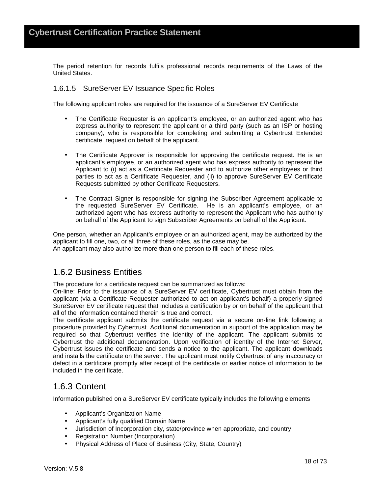The period retention for records fulfils professional records requirements of the Laws of the United States.

#### 1.6.1.5 SureServer EV Issuance Specific Roles

The following applicant roles are required for the issuance of a SureServer EV Certificate

- The Certificate Requester is an applicant's employee, or an authorized agent who has express authority to represent the applicant or a third party (such as an ISP or hosting company), who is responsible for completing and submitting a Cybertrust Extended certificate request on behalf of the applicant.
- The Certificate Approver is responsible for approving the certificate request. He is an applicant's employee, or an authorized agent who has express authority to represent the Applicant to (i) act as a Certificate Requester and to authorize other employees or third parties to act as a Certificate Requester, and (ii) to approve SureServer EV Certificate Requests submitted by other Certificate Requesters.
- The Contract Signer is responsible for signing the Subscriber Agreement applicable to the requested SureServer EV Certificate. He is an applicant's employee, or an authorized agent who has express authority to represent the Applicant who has authority on behalf of the Applicant to sign Subscriber Agreements on behalf of the Applicant.

One person, whether an Applicant's employee or an authorized agent, may be authorized by the applicant to fill one, two, or all three of these roles, as the case may be. An applicant may also authorize more than one person to fill each of these roles.

### 1.6.2 Business Entities

The procedure for a certificate request can be summarized as follows:

On-line: Prior to the issuance of a SureServer EV certificate, Cybertrust must obtain from the applicant (via a Certificate Requester authorized to act on applicant's behalf) a properly signed SureServer EV certificate request that includes a certification by or on behalf of the applicant that all of the information contained therein is true and correct.

The certificate applicant submits the certificate request via a secure on-line link following a procedure provided by Cybertrust. Additional documentation in support of the application may be required so that Cybertrust verifies the identity of the applicant. The applicant submits to Cybertrust the additional documentation. Upon verification of identity of the Internet Server, Cybertrust issues the certificate and sends a notice to the applicant. The applicant downloads and installs the certificate on the server. The applicant must notify Cybertrust of any inaccuracy or defect in a certificate promptly after receipt of the certificate or earlier notice of information to be included in the certificate.

### 1.6.3 Content

Information published on a SureServer EV certificate typically includes the following elements

- Applicant's Organization Name
- Applicant's fully qualified Domain Name
- Jurisdiction of Incorporation city, state/province when appropriate, and country
- Registration Number (Incorporation)
- Physical Address of Place of Business (City, State, Country)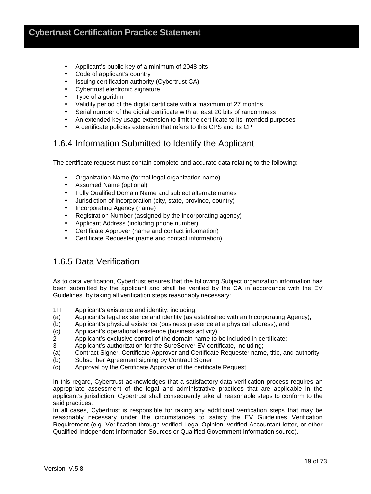- Applicant's public key of a minimum of 2048 bits
- Code of applicant's country
- Issuing certification authority (Cybertrust CA)
- Cybertrust electronic signature
- Type of algorithm
- Validity period of the digital certificate with a maximum of 27 months
- Serial number of the digital certificate with at least 20 bits of randomness
- An extended key usage extension to limit the certificate to its intended purposes
- A certificate policies extension that refers to this CPS and its CP

### 1.6.4 Information Submitted to Identify the Applicant

The certificate request must contain complete and accurate data relating to the following:

- Organization Name (formal legal organization name)
- Assumed Name (optional)
- Fully Qualified Domain Name and subject alternate names
- Jurisdiction of Incorporation (city, state, province, country)
- Incorporating Agency (name)
- Registration Number (assigned by the incorporating agency)
- Applicant Address (including phone number)
- Certificate Approver (name and contact information)
- Certificate Requester (name and contact information)

### 1.6.5 Data Verification

As to data verification, Cybertrust ensures that the following Subject organization information has been submitted by the applicant and shall be verified by the CA in accordance with the EV Guidelines by taking all verification steps reasonably necessary:

- 1 Applicant's existence and identity, including:
- (a) Applicant's legal existence and identity (as established with an Incorporating Agency),
- (b) Applicant's physical existence (business presence at a physical address), and
- (c) Applicant's operational existence (business activity)
- 2 Applicant's exclusive control of the domain name to be included in certificate;
- 3 Applicant's authorization for the SureServer EV certificate, including;
- (a) Contract Signer, Certificate Approver and Certificate Requester name, title, and authority
- (b) Subscriber Agreement signing by Contract Signer
- (c) Approval by the Certificate Approver of the certificate Request.

In this regard, Cybertrust acknowledges that a satisfactory data verification process requires an appropriate assessment of the legal and administrative practices that are applicable in the applicant's jurisdiction. Cybertrust shall consequently take all reasonable steps to conform to the said practices.

In all cases, Cybertrust is responsible for taking any additional verification steps that may be reasonably necessary under the circumstances to satisfy the EV Guidelines Verification Requirement (e.g. Verification through verified Legal Opinion, verified Accountant letter, or other Qualified Independent Information Sources or Qualified Government Information source).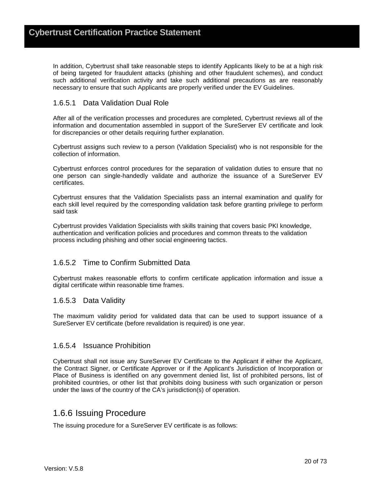In addition, Cybertrust shall take reasonable steps to identify Applicants likely to be at a high risk of being targeted for fraudulent attacks (phishing and other fraudulent schemes), and conduct such additional verification activity and take such additional precautions as are reasonably necessary to ensure that such Applicants are properly verified under the EV Guidelines.

#### 1.6.5.1 Data Validation Dual Role

After all of the verification processes and procedures are completed, Cybertrust reviews all of the information and documentation assembled in support of the SureServer EV certificate and look for discrepancies or other details requiring further explanation.

Cybertrust assigns such review to a person (Validation Specialist) who is not responsible for the collection of information.

Cybertrust enforces control procedures for the separation of validation duties to ensure that no one person can single-handedly validate and authorize the issuance of a SureServer EV certificates.

Cybertrust ensures that the Validation Specialists pass an internal examination and qualify for each skill level required by the corresponding validation task before granting privilege to perform said task

Cybertrust provides Validation Specialists with skills training that covers basic PKI knowledge, authentication and verification policies and procedures and common threats to the validation process including phishing and other social engineering tactics.

#### 1.6.5.2 Time to Confirm Submitted Data

Cybertrust makes reasonable efforts to confirm certificate application information and issue a digital certificate within reasonable time frames.

#### 1.6.5.3 Data Validity

The maximum validity period for validated data that can be used to support issuance of a SureServer EV certificate (before revalidation is required) is one year.

#### 1.6.5.4 Issuance Prohibition

Cybertrust shall not issue any SureServer EV Certificate to the Applicant if either the Applicant, the Contract Signer, or Certificate Approver or if the Applicant's Jurisdiction of Incorporation or Place of Business is identified on any government denied list, list of prohibited persons, list of prohibited countries, or other list that prohibits doing business with such organization or person under the laws of the country of the CA's jurisdiction(s) of operation.

### 1.6.6 Issuing Procedure

The issuing procedure for a SureServer EV certificate is as follows: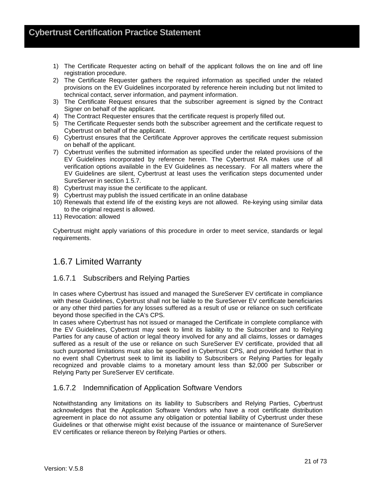- 1) The Certificate Requester acting on behalf of the applicant follows the on line and off line registration procedure.
- 2) The Certificate Requester gathers the required information as specified under the related provisions on the EV Guidelines incorporated by reference herein including but not limited to technical contact, server information, and payment information.
- 3) The Certificate Request ensures that the subscriber agreement is signed by the Contract Signer on behalf of the applicant.
- 4) The Contract Requester ensures that the certificate request is properly filled out.
- 5) The Certificate Requester sends both the subscriber agreement and the certificate request to Cybertrust on behalf of the applicant.
- 6) Cybertrust ensures that the Certificate Approver approves the certificate request submission on behalf of the applicant.
- 7) Cybertrust verifies the submitted information as specified under the related provisions of the EV Guidelines incorporated by reference herein. The Cybertrust RA makes use of all verification options available in the EV Guidelines as necessary. For all matters where the EV Guidelines are silent, Cybertrust at least uses the verification steps documented under SureServer in section 1.5.7.
- 8) Cybertrust may issue the certificate to the applicant.
- 9) Cybertrust may publish the issued certificate in an online database
- 10) Renewals that extend life of the existing keys are not allowed. Re-keying using similar data to the original request is allowed.
- 11) Revocation: allowed

Cybertrust might apply variations of this procedure in order to meet service, standards or legal requirements.

### 1.6.7 Limited Warranty

#### 1.6.7.1 Subscribers and Relying Parties

In cases where Cybertrust has issued and managed the SureServer EV certificate in compliance with these Guidelines, Cybertrust shall not be liable to the SureServer EV certificate beneficiaries or any other third parties for any losses suffered as a result of use or reliance on such certificate beyond those specified in the CA's CPS.

In cases where Cybertrust has not issued or managed the Certificate in complete compliance with the EV Guidelines, Cybertrust may seek to limit its liability to the Subscriber and to Relying Parties for any cause of action or legal theory involved for any and all claims, losses or damages suffered as a result of the use or reliance on such SureServer EV certificate, provided that all such purported limitations must also be specified in Cybertrust CPS, and provided further that in no event shall Cybertrust seek to limit its liability to Subscribers or Relying Parties for legally recognized and provable claims to a monetary amount less than \$2,000 per Subscriber or Relying Party per SureServer EV certificate.

#### 1.6.7.2 Indemnification of Application Software Vendors

Notwithstanding any limitations on its liability to Subscribers and Relying Parties, Cybertrust acknowledges that the Application Software Vendors who have a root certificate distribution agreement in place do not assume any obligation or potential liability of Cybertrust under these Guidelines or that otherwise might exist because of the issuance or maintenance of SureServer EV certificates or reliance thereon by Relying Parties or others.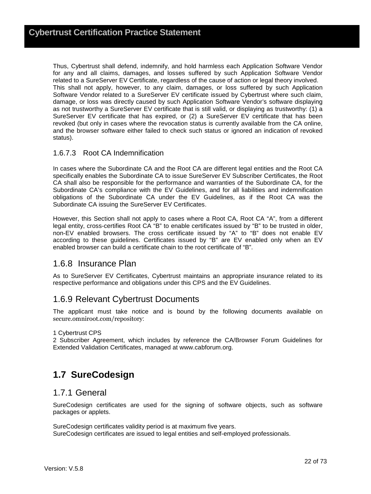Thus, Cybertrust shall defend, indemnify, and hold harmless each Application Software Vendor for any and all claims, damages, and losses suffered by such Application Software Vendor related to a SureServer EV Certificate, regardless of the cause of action or legal theory involved. This shall not apply, however, to any claim, damages, or loss suffered by such Application Software Vendor related to a SureServer EV certificate issued by Cybertrust where such claim, damage, or loss was directly caused by such Application Software Vendor's software displaying as not trustworthy a SureServer EV certificate that is still valid, or displaying as trustworthy: (1) a SureServer EV certificate that has expired, or (2) a SureServer EV certificate that has been revoked (but only in cases where the revocation status is currently available from the CA online, and the browser software either failed to check such status or ignored an indication of revoked status).

#### 1.6.7.3 Root CA Indemnification

In cases where the Subordinate CA and the Root CA are different legal entities and the Root CA specifically enables the Subordinate CA to issue SureServer EV Subscriber Certificates, the Root CA shall also be responsible for the performance and warranties of the Subordinate CA, for the Subordinate CA's compliance with the EV Guidelines, and for all liabilities and indemnification obligations of the Subordinate CA under the EV Guidelines, as if the Root CA was the Subordinate CA issuing the SureServer EV Certificates.

However, this Section shall not apply to cases where a Root CA, Root CA "A", from a different legal entity, cross-certifies Root CA "B" to enable certificates issued by "B" to be trusted in older, non-EV enabled browsers. The cross certificate issued by "A" to "B" does not enable EV according to these guidelines. Certificates issued by "B" are EV enabled only when an EV enabled browser can build a certificate chain to the root certificate of "B".

### 1.6.8 Insurance Plan

As to SureServer EV Certificates, Cybertrust maintains an appropriate insurance related to its respective performance and obligations under this CPS and the EV Guidelines.

### 1.6.9 Relevant Cybertrust Documents

The applicant must take notice and is bound by the following documents available on secure.omniroot.com/repository:

#### 1 Cybertrust CPS

2 Subscriber Agreement, which includes by reference the CA/Browser Forum Guidelines for Extended Validation Certificates, managed at www.cabforum.org.

### **1.7 SureCodesign**

### 1.7.1 General

SureCodesign certificates are used for the signing of software objects, such as software packages or applets.

SureCodesign certificates validity period is at maximum five years. SureCodesign certificates are issued to legal entities and self-employed professionals.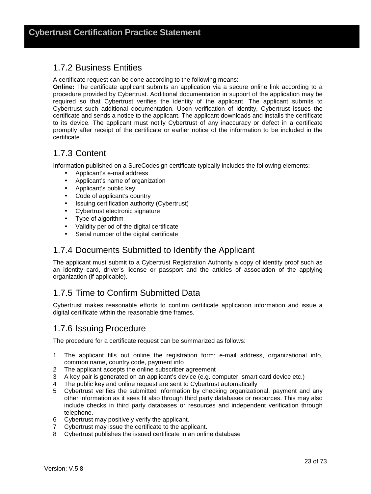### 1.7.2 Business Entities

A certificate request can be done according to the following means:

**Online:** The certificate applicant submits an application via a secure online link according to a procedure provided by Cybertrust. Additional documentation in support of the application may be required so that Cybertrust verifies the identity of the applicant. The applicant submits to Cybertrust such additional documentation. Upon verification of identity, Cybertrust issues the certificate and sends a notice to the applicant. The applicant downloads and installs the certificate to its device. The applicant must notify Cybertrust of any inaccuracy or defect in a certificate promptly after receipt of the certificate or earlier notice of the information to be included in the certificate.

### 1.7.3 Content

Information published on a SureCodesign certificate typically includes the following elements:

- Applicant's e-mail address
- Applicant's name of organization
- Applicant's public key
- Code of applicant's country
- Issuing certification authority (Cybertrust)
- Cybertrust electronic signature
- Type of algorithm
- Validity period of the digital certificate
- Serial number of the digital certificate

### 1.7.4 Documents Submitted to Identify the Applicant

The applicant must submit to a Cybertrust Registration Authority a copy of identity proof such as an identity card, driver's license or passport and the articles of association of the applying organization (if applicable).

### 1.7.5 Time to Confirm Submitted Data

Cybertrust makes reasonable efforts to confirm certificate application information and issue a digital certificate within the reasonable time frames.

### 1.7.6 Issuing Procedure

The procedure for a certificate request can be summarized as follows:

- 1 The applicant fills out online the registration form: e-mail address, organizational info, common name, country code, payment info
- 2 The applicant accepts the online subscriber agreement
- 3 A key pair is generated on an applicant's device (e.g. computer, smart card device etc.)
- 4 The public key and online request are sent to Cybertrust automatically
- 5 Cybertrust verifies the submitted information by checking organizational, payment and any other information as it sees fit also through third party databases or resources. This may also include checks in third party databases or resources and independent verification through telephone.
- 6 Cybertrust may positively verify the applicant.
- 7 Cybertrust may issue the certificate to the applicant.
- 8 Cybertrust publishes the issued certificate in an online database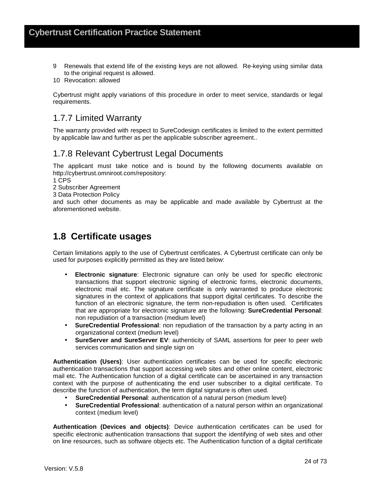- 9 Renewals that extend life of the existing keys are not allowed. Re-keying using similar data to the original request is allowed.
- 10 Revocation: allowed

Cybertrust might apply variations of this procedure in order to meet service, standards or legal requirements.

### 1.7.7 Limited Warranty

The warranty provided with respect to SureCodesign certificates is limited to the extent permitted by applicable law and further as per the applicable subscriber agreement..

### 1.7.8 Relevant Cybertrust Legal Documents

The applicant must take notice and is bound by the following documents available on http://cybertrust.omniroot.com/repository:

1 CPS

2 Subscriber Agreement

3 Data Protection Policy

and such other documents as may be applicable and made available by Cybertrust at the aforementioned website.

### **1.8 Certificate usages**

Certain limitations apply to the use of Cybertrust certificates. A Cybertrust certificate can only be used for purposes explicitly permitted as they are listed below:

- **Electronic signature**: Electronic signature can only be used for specific electronic transactions that support electronic signing of electronic forms, electronic documents, electronic mail etc. The signature certificate is only warranted to produce electronic signatures in the context of applications that support digital certificates. To describe the function of an electronic signature, the term non-repudiation is often used. Certificates that are appropriate for electronic signature are the following: **SureCredential Personal**: non repudiation of a transaction (medium level)
- **SureCredential Professional**: non repudiation of the transaction by a party acting in an organizational context (medium level)
- **SureServer and SureServer EV**: authenticity of SAML assertions for peer to peer web services communication and single sign on

**Authentication (Users)**: User authentication certificates can be used for specific electronic authentication transactions that support accessing web sites and other online content, electronic mail etc. The Authentication function of a digital certificate can be ascertained in any transaction context with the purpose of authenticating the end user subscriber to a digital certificate. To describe the function of authentication, the term digital signature is often used.

- **SureCredential Personal**: authentication of a natural person (medium level)
- **SureCredential Professional**: authentication of a natural person within an organizational context (medium level)

**Authentication (Devices and objects)**: Device authentication certificates can be used for specific electronic authentication transactions that support the identifying of web sites and other on line resources, such as software objects etc. The Authentication function of a digital certificate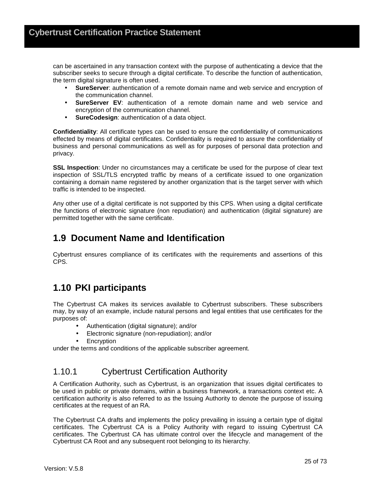can be ascertained in any transaction context with the purpose of authenticating a device that the subscriber seeks to secure through a digital certificate. To describe the function of authentication, the term digital signature is often used.

- **SureServer:** authentication of a remote domain name and web service and encryption of the communication channel.
- **SureServer EV**: authentication of a remote domain name and web service and encryption of the communication channel.
- **SureCodesign**: authentication of a data object.

**Confidentiality**: All certificate types can be used to ensure the confidentiality of communications effected by means of digital certificates. Confidentiality is required to assure the confidentiality of business and personal communications as well as for purposes of personal data protection and privacy.

**SSL Inspection**: Under no circumstances may a certificate be used for the purpose of clear text inspection of SSL/TLS encrypted traffic by means of a certificate issued to one organization containing a domain name registered by another organization that is the target server with which traffic is intended to be inspected.

Any other use of a digital certificate is not supported by this CPS. When using a digital certificate the functions of electronic signature (non repudiation) and authentication (digital signature) are permitted together with the same certificate.

### **1.9 Document Name and Identification**

Cybertrust ensures compliance of its certificates with the requirements and assertions of this CPS.

### **1.10 PKI participants**

The Cybertrust CA makes its services available to Cybertrust subscribers. These subscribers may, by way of an example, include natural persons and legal entities that use certificates for the purposes of:

- Authentication (digital signature); and/or
- Electronic signature (non-repudiation); and/or
- **Encryption**

under the terms and conditions of the applicable subscriber agreement.

### 1.10.1 Cybertrust Certification Authority

A Certification Authority, such as Cybertrust, is an organization that issues digital certificates to be used in public or private domains, within a business framework, a transactions context etc. A certification authority is also referred to as the Issuing Authority to denote the purpose of issuing certificates at the request of an RA.

The Cybertrust CA drafts and implements the policy prevailing in issuing a certain type of digital certificates. The Cybertrust CA is a Policy Authority with regard to issuing Cybertrust CA certificates. The Cybertrust CA has ultimate control over the lifecycle and management of the Cybertrust CA Root and any subsequent root belonging to its hierarchy.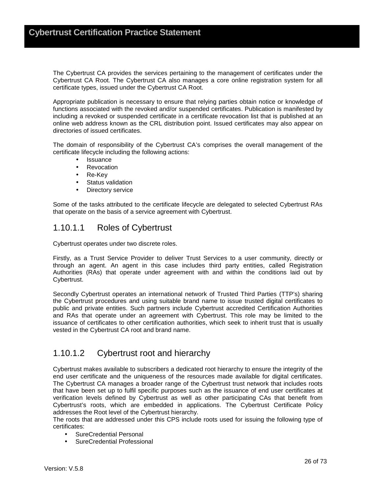The Cybertrust CA provides the services pertaining to the management of certificates under the Cybertrust CA Root. The Cybertrust CA also manages a core online registration system for all certificate types, issued under the Cybertrust CA Root.

Appropriate publication is necessary to ensure that relying parties obtain notice or knowledge of functions associated with the revoked and/or suspended certificates. Publication is manifested by including a revoked or suspended certificate in a certificate revocation list that is published at an online web address known as the CRL distribution point. Issued certificates may also appear on directories of issued certificates.

The domain of responsibility of the Cybertrust CA's comprises the overall management of the certificate lifecycle including the following actions:

- Issuance
- **Revocation**
- Re-Key
- Status validation
- Directory service

Some of the tasks attributed to the certificate lifecycle are delegated to selected Cybertrust RAs that operate on the basis of a service agreement with Cybertrust.

### 1.10.1.1 Roles of Cybertrust

Cybertrust operates under two discrete roles.

Firstly, as a Trust Service Provider to deliver Trust Services to a user community, directly or through an agent. An agent in this case includes third party entities, called Registration Authorities (RAs) that operate under agreement with and within the conditions laid out by Cybertrust.

Secondly Cybertrust operates an international network of Trusted Third Parties (TTP's) sharing the Cybertrust procedures and using suitable brand name to issue trusted digital certificates to public and private entities. Such partners include Cybertrust accredited Certification Authorities and RAs that operate under an agreement with Cybertrust. This role may be limited to the issuance of certificates to other certification authorities, which seek to inherit trust that is usually vested in the Cybertrust CA root and brand name.

### 1.10.1.2 Cybertrust root and hierarchy

Cybertrust makes available to subscribers a dedicated root hierarchy to ensure the integrity of the end user certificate and the uniqueness of the resources made available for digital certificates. The Cybertrust CA manages a broader range of the Cybertrust trust network that includes roots that have been set up to fulfil specific purposes such as the issuance of end user certificates at verification levels defined by Cybertrust as well as other participating CAs that benefit from Cybertrust's roots, which are embedded in applications. The Cybertrust Certificate Policy addresses the Root level of the Cybertrust hierarchy.

The roots that are addressed under this CPS include roots used for issuing the following type of certificates:

- SureCredential Personal
- SureCredential Professional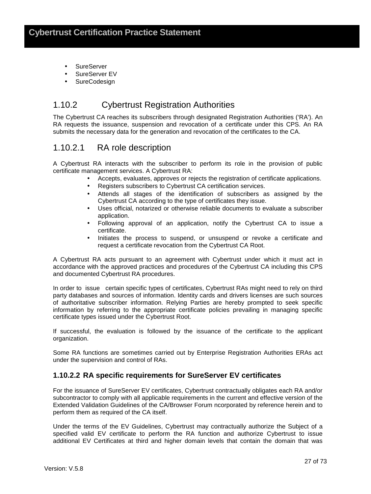- **SureServer**
- SureServer EV
- **SureCodesign**

### 1.10.2 Cybertrust Registration Authorities

The Cybertrust CA reaches its subscribers through designated Registration Authorities ('RA'). An RA requests the issuance, suspension and revocation of a certificate under this CPS. An RA submits the necessary data for the generation and revocation of the certificates to the CA.

### 1.10.2.1 RA role description

A Cybertrust RA interacts with the subscriber to perform its role in the provision of public certificate management services. A Cybertrust RA:

- Accepts, evaluates, approves or rejects the registration of certificate applications.
- Registers subscribers to Cybertrust CA certification services.
- Attends all stages of the identification of subscribers as assigned by the Cybertrust CA according to the type of certificates they issue.
- Uses official, notarized or otherwise reliable documents to evaluate a subscriber application.
- Following approval of an application, notify the Cybertrust CA to issue a certificate.
- Initiates the process to suspend, or unsuspend or revoke a certificate and request a certificate revocation from the Cybertrust CA Root.

A Cybertrust RA acts pursuant to an agreement with Cybertrust under which it must act in accordance with the approved practices and procedures of the Cybertrust CA including this CPS and documented Cybertrust RA procedures.

In order to issue certain specific types of certificates, Cybertrust RAs might need to rely on third party databases and sources of information. Identity cards and drivers licenses are such sources of authoritative subscriber information. Relying Parties are hereby prompted to seek specific information by referring to the appropriate certificate policies prevailing in managing specific certificate types issued under the Cybertrust Root.

If successful, the evaluation is followed by the issuance of the certificate to the applicant organization.

Some RA functions are sometimes carried out by Enterprise Registration Authorities ERAs act under the supervision and control of RAs.

### **1.10.2.2 RA specific requirements for SureServer EV certificates**

For the issuance of SureServer EV certificates, Cybertrust contractually obligates each RA and/or subcontractor to comply with all applicable requirements in the current and effective version of the Extended Validation Guidelines of the CA/Browser Forum ncorporated by reference herein and to perform them as required of the CA itself.

Under the terms of the EV Guidelines, Cybertrust may contractually authorize the Subject of a specified valid EV certificate to perform the RA function and authorize Cybertrust to issue additional EV Certificates at third and higher domain levels that contain the domain that was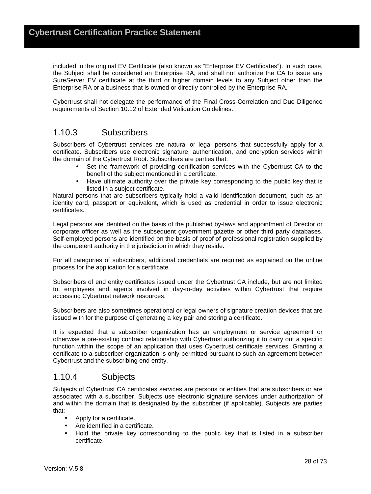included in the original EV Certificate (also known as "Enterprise EV Certificates"). In such case, the Subject shall be considered an Enterprise RA, and shall not authorize the CA to issue any SureServer EV certificate at the third or higher domain levels to any Subject other than the Enterprise RA or a business that is owned or directly controlled by the Enterprise RA.

Cybertrust shall not delegate the performance of the Final Cross-Correlation and Due Diligence requirements of Section 10.12 of Extended Validation Guidelines.

### 1.10.3 Subscribers

Subscribers of Cybertrust services are natural or legal persons that successfully apply for a certificate. Subscribers use electronic signature, authentication, and encryption services within the domain of the Cybertrust Root. Subscribers are parties that:

- Set the framework of providing certification services with the Cybertrust CA to the benefit of the subject mentioned in a certificate.
- Have ultimate authority over the private key corresponding to the public key that is listed in a subject certificate.

Natural persons that are subscribers typically hold a valid identification document, such as an identity card, passport or equivalent, which is used as credential in order to issue electronic certificates.

Legal persons are identified on the basis of the published by-laws and appointment of Director or corporate officer as well as the subsequent government gazette or other third party databases. Self-employed persons are identified on the basis of proof of professional registration supplied by the competent authority in the jurisdiction in which they reside.

For all categories of subscribers, additional credentials are required as explained on the online process for the application for a certificate.

Subscribers of end entity certificates issued under the Cybertrust CA include, but are not limited to, employees and agents involved in day-to-day activities within Cybertrust that require accessing Cybertrust network resources.

Subscribers are also sometimes operational or legal owners of signature creation devices that are issued with for the purpose of generating a key pair and storing a certificate.

It is expected that a subscriber organization has an employment or service agreement or otherwise a pre-existing contract relationship with Cybertrust authorizing it to carry out a specific function within the scope of an application that uses Cybertrust certificate services. Granting a certificate to a subscriber organization is only permitted pursuant to such an agreement between Cybertrust and the subscribing end entity.

### 1.10.4 Subjects

Subjects of Cybertrust CA certificates services are persons or entities that are subscribers or are associated with a subscriber. Subjects use electronic signature services under authorization of and within the domain that is designated by the subscriber (if applicable). Subjects are parties that:

- Apply for a certificate.
- Are identified in a certificate.
- Hold the private key corresponding to the public key that is listed in a subscriber certificate.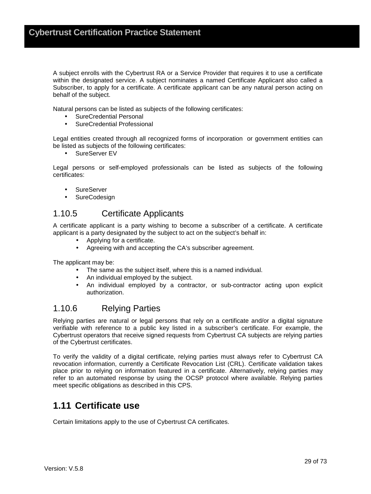A subject enrolls with the Cybertrust RA or a Service Provider that requires it to use a certificate within the designated service. A subject nominates a named Certificate Applicant also called a Subscriber, to apply for a certificate. A certificate applicant can be any natural person acting on behalf of the subject.

Natural persons can be listed as subjects of the following certificates:

- SureCredential Personal
- SureCredential Professional

Legal entities created through all recognized forms of incorporation or government entities can be listed as subjects of the following certificates:

• SureServer EV

Legal persons or self-employed professionals can be listed as subjects of the following certificates:

- SureServer
- **SureCodesign**

### 1.10.5 Certificate Applicants

A certificate applicant is a party wishing to become a subscriber of a certificate. A certificate applicant is a party designated by the subject to act on the subject's behalf in:

- Applying for a certificate.
- Agreeing with and accepting the CA's subscriber agreement.

The applicant may be:

- The same as the subject itself, where this is a named individual.
- An individual employed by the subject.
- An individual employed by a contractor, or sub-contractor acting upon explicit authorization.

### 1.10.6 Relying Parties

Relying parties are natural or legal persons that rely on a certificate and/or a digital signature verifiable with reference to a public key listed in a subscriber's certificate. For example, the Cybertrust operators that receive signed requests from Cybertrust CA subjects are relying parties of the Cybertrust certificates.

To verify the validity of a digital certificate, relying parties must always refer to Cybertrust CA revocation information, currently a Certificate Revocation List (CRL). Certificate validation takes place prior to relying on information featured in a certificate. Alternatively, relying parties may refer to an automated response by using the OCSP protocol where available. Relying parties meet specific obligations as described in this CPS.

### **1.11 Certificate use**

Certain limitations apply to the use of Cybertrust CA certificates.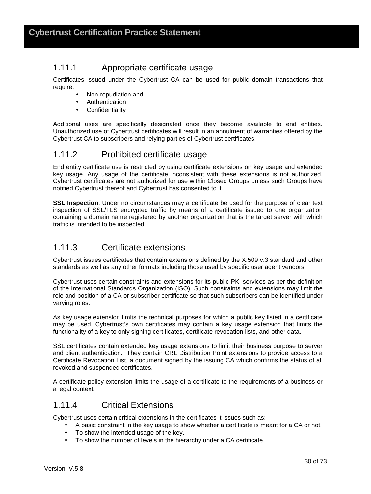### 1.11.1 Appropriate certificate usage

Certificates issued under the Cybertrust CA can be used for public domain transactions that require:

- Non-repudiation and
- Authentication
- Confidentiality

Additional uses are specifically designated once they become available to end entities. Unauthorized use of Cybertrust certificates will result in an annulment of warranties offered by the Cybertrust CA to subscribers and relying parties of Cybertrust certificates.

### 1.11.2 Prohibited certificate usage

End entity certificate use is restricted by using certificate extensions on key usage and extended key usage. Any usage of the certificate inconsistent with these extensions is not authorized. Cybertrust certificates are not authorized for use within Closed Groups unless such Groups have notified Cybertrust thereof and Cybertrust has consented to it.

**SSL Inspection**: Under no circumstances may a certificate be used for the purpose of clear text inspection of SSL/TLS encrypted traffic by means of a certificate issued to one organization containing a domain name registered by another organization that is the target server with which traffic is intended to be inspected.

### 1.11.3 Certificate extensions

Cybertrust issues certificates that contain extensions defined by the X.509 v.3 standard and other standards as well as any other formats including those used by specific user agent vendors.

Cybertrust uses certain constraints and extensions for its public PKI services as per the definition of the International Standards Organization (ISO). Such constraints and extensions may limit the role and position of a CA or subscriber certificate so that such subscribers can be identified under varying roles.

As key usage extension limits the technical purposes for which a public key listed in a certificate may be used, Cybertrust's own certificates may contain a key usage extension that limits the functionality of a key to only signing certificates, certificate revocation lists, and other data.

SSL certificates contain extended key usage extensions to limit their business purpose to server and client authentication. They contain CRL Distribution Point extensions to provide access to a Certificate Revocation List, a document signed by the issuing CA which confirms the status of all revoked and suspended certificates.

A certificate policy extension limits the usage of a certificate to the requirements of a business or a legal context.

### 1.11.4 Critical Extensions

Cybertrust uses certain critical extensions in the certificates it issues such as:

- A basic constraint in the key usage to show whether a certificate is meant for a CA or not.
- To show the intended usage of the key.
- To show the number of levels in the hierarchy under a CA certificate.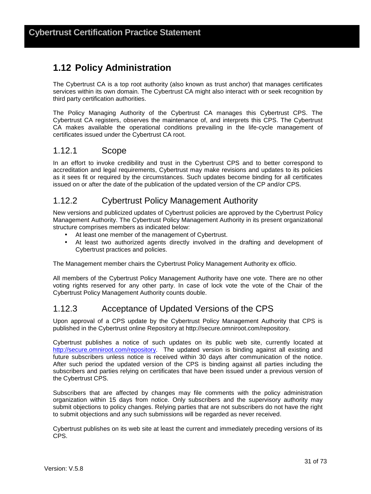### **1.12 Policy Administration**

The Cybertrust CA is a top root authority (also known as trust anchor) that manages certificates services within its own domain. The Cybertrust CA might also interact with or seek recognition by third party certification authorities.

The Policy Managing Authority of the Cybertrust CA manages this Cybertrust CPS. The Cybertrust CA registers, observes the maintenance of, and interprets this CPS. The Cybertrust CA makes available the operational conditions prevailing in the life-cycle management of certificates issued under the Cybertrust CA root.

#### 1.12.1 Scope

In an effort to invoke credibility and trust in the Cybertrust CPS and to better correspond to accreditation and legal requirements, Cybertrust may make revisions and updates to its policies as it sees fit or required by the circumstances. Such updates become binding for all certificates issued on or after the date of the publication of the updated version of the CP and/or CPS.

#### 1.12.2 Cybertrust Policy Management Authority

New versions and publicized updates of Cybertrust policies are approved by the Cybertrust Policy Management Authority. The Cybertrust Policy Management Authority in its present organizational structure comprises members as indicated below:

- At least one member of the management of Cybertrust.
- At least two authorized agents directly involved in the drafting and development of Cybertrust practices and policies.

The Management member chairs the Cybertrust Policy Management Authority ex officio.

All members of the Cybertrust Policy Management Authority have one vote. There are no other voting rights reserved for any other party. In case of lock vote the vote of the Chair of the Cybertrust Policy Management Authority counts double.

#### 1.12.3 Acceptance of Updated Versions of the CPS

Upon approval of a CPS update by the Cybertrust Policy Management Authority that CPS is published in the Cybertrust online Repository at http://secure.omniroot.com/repository.

Cybertrust publishes a notice of such updates on its public web site, currently located at http://secure.omniroot.com/repository. The updated version is binding against all existing and future subscribers unless notice is received within 30 days after communication of the notice. After such period the updated version of the CPS is binding against all parties including the subscribers and parties relying on certificates that have been issued under a previous version of the Cybertrust CPS.

Subscribers that are affected by changes may file comments with the policy administration organization within 15 days from notice. Only subscribers and the supervisory authority may submit objections to policy changes. Relying parties that are not subscribers do not have the right to submit objections and any such submissions will be regarded as never received.

Cybertrust publishes on its web site at least the current and immediately preceding versions of its CPS.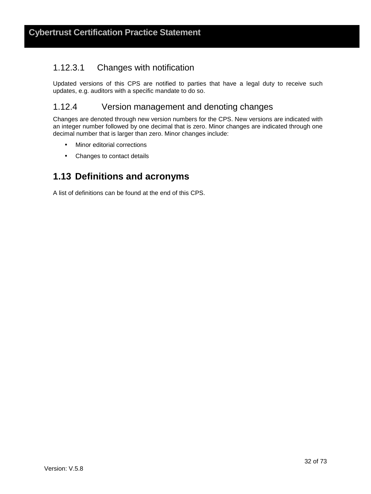#### 1.12.3.1 Changes with notification

Updated versions of this CPS are notified to parties that have a legal duty to receive such updates, e.g. auditors with a specific mandate to do so.

#### 1.12.4 Version management and denoting changes

Changes are denoted through new version numbers for the CPS. New versions are indicated with an integer number followed by one decimal that is zero. Minor changes are indicated through one decimal number that is larger than zero. Minor changes include:

- Minor editorial corrections
- Changes to contact details

### **1.13 Definitions and acronyms**

A list of definitions can be found at the end of this CPS.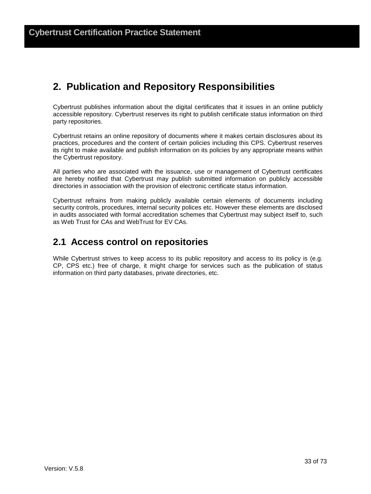# **2. Publication and Repository Responsibilities**

Cybertrust publishes information about the digital certificates that it issues in an online publicly accessible repository. Cybertrust reserves its right to publish certificate status information on third party repositories.

Cybertrust retains an online repository of documents where it makes certain disclosures about its practices, procedures and the content of certain policies including this CPS. Cybertrust reserves its right to make available and publish information on its policies by any appropriate means within the Cybertrust repository.

All parties who are associated with the issuance, use or management of Cybertrust certificates are hereby notified that Cybertrust may publish submitted information on publicly accessible directories in association with the provision of electronic certificate status information.

Cybertrust refrains from making publicly available certain elements of documents including security controls, procedures, internal security polices etc. However these elements are disclosed in audits associated with formal accreditation schemes that Cybertrust may subject itself to, such as Web Trust for CAs and WebTrust for EV CAs.

### **2.1 Access control on repositories**

While Cybertrust strives to keep access to its public repository and access to its policy is (e.g. CP, CPS etc.) free of charge, it might charge for services such as the publication of status information on third party databases, private directories, etc.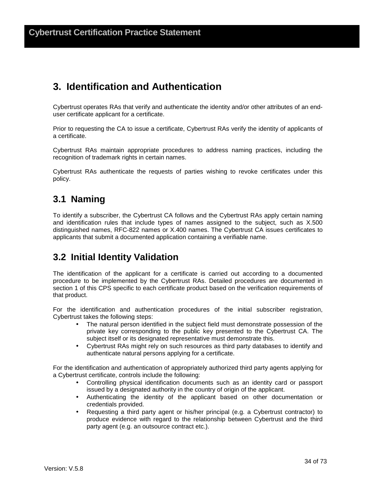# **3. Identification and Authentication**

Cybertrust operates RAs that verify and authenticate the identity and/or other attributes of an enduser certificate applicant for a certificate.

Prior to requesting the CA to issue a certificate, Cybertrust RAs verify the identity of applicants of a certificate.

Cybertrust RAs maintain appropriate procedures to address naming practices, including the recognition of trademark rights in certain names.

Cybertrust RAs authenticate the requests of parties wishing to revoke certificates under this policy.

### **3.1 Naming**

To identify a subscriber, the Cybertrust CA follows and the Cybertrust RAs apply certain naming and identification rules that include types of names assigned to the subject, such as X.500 distinguished names, RFC-822 names or X.400 names. The Cybertrust CA issues certificates to applicants that submit a documented application containing a verifiable name.

### **3.2 Initial Identity Validation**

The identification of the applicant for a certificate is carried out according to a documented procedure to be implemented by the Cybertrust RAs. Detailed procedures are documented in section 1 of this CPS specific to each certificate product based on the verification requirements of that product.

For the identification and authentication procedures of the initial subscriber registration, Cybertrust takes the following steps:

- The natural person identified in the subject field must demonstrate possession of the private key corresponding to the public key presented to the Cybertrust CA. The subject itself or its designated representative must demonstrate this.
- Cybertrust RAs might rely on such resources as third party databases to identify and authenticate natural persons applying for a certificate.

For the identification and authentication of appropriately authorized third party agents applying for a Cybertrust certificate, controls include the following:

- Controlling physical identification documents such as an identity card or passport issued by a designated authority in the country of origin of the applicant.
- Authenticating the identity of the applicant based on other documentation or credentials provided.
- Requesting a third party agent or his/her principal (e.g. a Cybertrust contractor) to produce evidence with regard to the relationship between Cybertrust and the third party agent (e.g. an outsource contract etc.).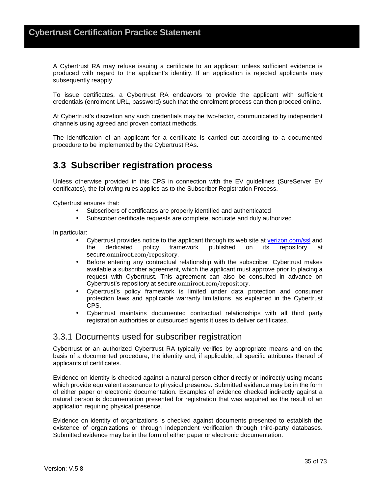A Cybertrust RA may refuse issuing a certificate to an applicant unless sufficient evidence is produced with regard to the applicant's identity. If an application is rejected applicants may subsequently reapply.

To issue certificates, a Cybertrust RA endeavors to provide the applicant with sufficient credentials (enrolment URL, password) such that the enrolment process can then proceed online.

At Cybertrust's discretion any such credentials may be two-factor, communicated by independent channels using agreed and proven contact methods.

The identification of an applicant for a certificate is carried out according to a documented procedure to be implemented by the Cybertrust RAs.

## **3.3 Subscriber registration process**

Unless otherwise provided in this CPS in connection with the EV guidelines (SureServer EV certificates), the following rules applies as to the Subscriber Registration Process.

Cybertrust ensures that:

- Subscribers of certificates are properly identified and authenticated
- Subscriber certificate requests are complete, accurate and duly authorized.

In particular:

- Cybertrust provides notice to the applicant through its web site at verizon.com/ssl and<br>the dedicated policy framework published on its repository at the dedicated policy framework published on its repository secure.omniroot.com/repository.
- Before entering any contractual relationship with the subscriber, Cybertrust makes available a subscriber agreement, which the applicant must approve prior to placing a request with Cybertrust. This agreement can also be consulted in advance on Cybertrust's repository at secure.omniroot.com/repository.
- Cybertrust's policy framework is limited under data protection and consumer protection laws and applicable warranty limitations, as explained in the Cybertrust CPS.
- Cybertrust maintains documented contractual relationships with all third party registration authorities or outsourced agents it uses to deliver certificates.

#### 3.3.1 Documents used for subscriber registration

Cybertrust or an authorized Cybertrust RA typically verifies by appropriate means and on the basis of a documented procedure, the identity and, if applicable, all specific attributes thereof of applicants of certificates.

Evidence on identity is checked against a natural person either directly or indirectly using means which provide equivalent assurance to physical presence. Submitted evidence may be in the form of either paper or electronic documentation. Examples of evidence checked indirectly against a natural person is documentation presented for registration that was acquired as the result of an application requiring physical presence.

Evidence on identity of organizations is checked against documents presented to establish the existence of organizations or through independent verification through third-party databases. Submitted evidence may be in the form of either paper or electronic documentation.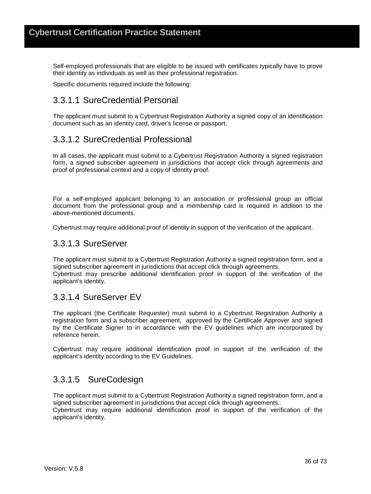Self-employed professionals that are eligible to be issued with certificates typically have to prove their identity as individuals as well as their professional registration.

Specific documents required include the following:

#### 3.3.1.1 SureCredential Personal

The applicant must submit to a Cybertrust Registration Authority a signed copy of an identification document such as an identity card, driver's license or passport.

### 3.3.1.2 SureCredential Professional

In all cases, the applicant must submit to a Cybertrust Registration Authority a signed registration form, a signed subscriber agreement in jurisdictions that accept click through agreements and proof of professional context and a copy of identity proof.

For a self-employed applicant belonging to an association or professional group an official document from the professional group and a membership card is required in addition to the above-mentioned documents.

Cybertrust may require additional proof of identity in support of the verification of the applicant.

#### 3.3.1.3 SureServer

The applicant must submit to a Cybertrust Registration Authority a signed registration form, and a signed subscriber agreement in jurisdictions that accept click through agreements. Cybertrust may prescribe additional identification proof in support of the verification of the applicant's identity.

#### 3.3.1.4 SureServer EV

The applicant (the Certificate Requester) must submit to a Cybertrust Registration Authority a registration form and a subscriber agreement, approved by the Certificate Approver and signed by the Certificate Signer to in accordance with the EV guidelines which are incorporated by reference herein.

Cybertrust may require additional identification proof in support of the verification of the applicant's identity according to the EV Guidelines.

#### 3.3.1.5 SureCodesign

The applicant must submit to a Cybertrust Registration Authority a signed registration form, and a signed subscriber agreement in jurisdictions that accept click through agreements.. Cybertrust may require additional identification proof in support of the verification of the applicant's identity.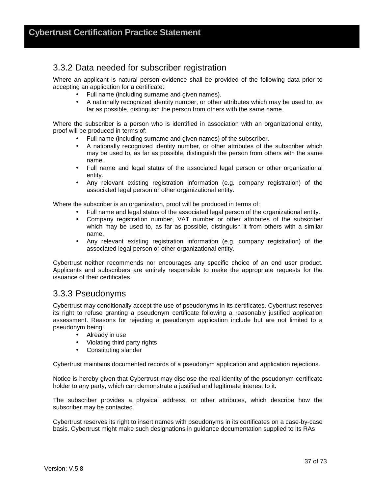### 3.3.2 Data needed for subscriber registration

Where an applicant is natural person evidence shall be provided of the following data prior to accepting an application for a certificate:

- Full name (including surname and given names).
- A nationally recognized identity number, or other attributes which may be used to, as far as possible, distinguish the person from others with the same name.

Where the subscriber is a person who is identified in association with an organizational entity, proof will be produced in terms of:

- Full name (including surname and given names) of the subscriber.
- A nationally recognized identity number, or other attributes of the subscriber which may be used to, as far as possible, distinguish the person from others with the same name.
- Full name and legal status of the associated legal person or other organizational entity.
- Any relevant existing registration information (e.g. company registration) of the associated legal person or other organizational entity.

Where the subscriber is an organization, proof will be produced in terms of:

- Full name and legal status of the associated legal person of the organizational entity.
- Company registration number, VAT number or other attributes of the subscriber which may be used to, as far as possible, distinguish it from others with a similar name.
- Any relevant existing registration information (e.g. company registration) of the associated legal person or other organizational entity.

Cybertrust neither recommends nor encourages any specific choice of an end user product. Applicants and subscribers are entirely responsible to make the appropriate requests for the issuance of their certificates.

#### 3.3.3 Pseudonyms

Cybertrust may conditionally accept the use of pseudonyms in its certificates. Cybertrust reserves its right to refuse granting a pseudonym certificate following a reasonably justified application assessment. Reasons for rejecting a pseudonym application include but are not limited to a pseudonym being:

- Already in use
- Violating third party rights
- Constituting slander

Cybertrust maintains documented records of a pseudonym application and application rejections.

Notice is hereby given that Cybertrust may disclose the real identity of the pseudonym certificate holder to any party, which can demonstrate a justified and legitimate interest to it.

The subscriber provides a physical address, or other attributes, which describe how the subscriber may be contacted.

Cybertrust reserves its right to insert names with pseudonyms in its certificates on a case-by-case basis. Cybertrust might make such designations in guidance documentation supplied to its RAs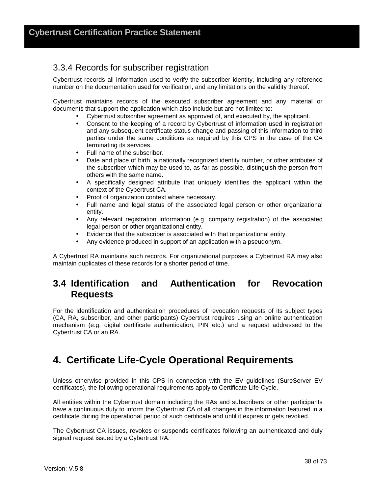### 3.3.4 Records for subscriber registration

Cybertrust records all information used to verify the subscriber identity, including any reference number on the documentation used for verification, and any limitations on the validity thereof.

Cybertrust maintains records of the executed subscriber agreement and any material or documents that support the application which also include but are not limited to:

- Cybertrust subscriber agreement as approved of, and executed by, the applicant.
- Consent to the keeping of a record by Cybertrust of information used in registration and any subsequent certificate status change and passing of this information to third parties under the same conditions as required by this CPS in the case of the CA terminating its services.
- Full name of the subscriber.
- Date and place of birth, a nationally recognized identity number, or other attributes of the subscriber which may be used to, as far as possible, distinguish the person from others with the same name.
- A specifically designed attribute that uniquely identifies the applicant within the context of the Cybertrust CA.
- Proof of organization context where necessary.
- Full name and legal status of the associated legal person or other organizational entity.
- Any relevant registration information (e.g. company registration) of the associated legal person or other organizational entity.
- Evidence that the subscriber is associated with that organizational entity.
- Any evidence produced in support of an application with a pseudonym.

A Cybertrust RA maintains such records. For organizational purposes a Cybertrust RA may also maintain duplicates of these records for a shorter period of time.

### **3.4 Identification and Authentication for Revocation Requests**

For the identification and authentication procedures of revocation requests of its subject types (CA, RA, subscriber, and other participants) Cybertrust requires using an online authentication mechanism (e.g. digital certificate authentication, PIN etc.) and a request addressed to the Cybertrust CA or an RA.

# **4. Certificate Life-Cycle Operational Requirements**

Unless otherwise provided in this CPS in connection with the EV guidelines (SureServer EV certificates), the following operational requirements apply to Certificate Life-Cycle.

All entities within the Cybertrust domain including the RAs and subscribers or other participants have a continuous duty to inform the Cybertrust CA of all changes in the information featured in a certificate during the operational period of such certificate and until it expires or gets revoked.

The Cybertrust CA issues, revokes or suspends certificates following an authenticated and duly signed request issued by a Cybertrust RA.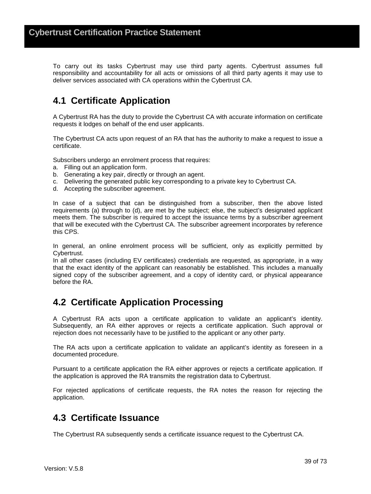To carry out its tasks Cybertrust may use third party agents. Cybertrust assumes full responsibility and accountability for all acts or omissions of all third party agents it may use to deliver services associated with CA operations within the Cybertrust CA.

# **4.1 Certificate Application**

A Cybertrust RA has the duty to provide the Cybertrust CA with accurate information on certificate requests it lodges on behalf of the end user applicants.

The Cybertrust CA acts upon request of an RA that has the authority to make a request to issue a certificate.

Subscribers undergo an enrolment process that requires:

- a. Filling out an application form.
- b. Generating a key pair, directly or through an agent.
- c. Delivering the generated public key corresponding to a private key to Cybertrust CA.
- d. Accepting the subscriber agreement.

In case of a subject that can be distinguished from a subscriber, then the above listed requirements (a) through to (d), are met by the subject; else, the subject's designated applicant meets them. The subscriber is required to accept the issuance terms by a subscriber agreement that will be executed with the Cybertrust CA. The subscriber agreement incorporates by reference this CPS.

In general, an online enrolment process will be sufficient, only as explicitly permitted by Cybertrust.

In all other cases (including EV certificates) credentials are requested, as appropriate, in a way that the exact identity of the applicant can reasonably be established. This includes a manually signed copy of the subscriber agreement, and a copy of identity card, or physical appearance before the RA.

### **4.2 Certificate Application Processing**

A Cybertrust RA acts upon a certificate application to validate an applicant's identity. Subsequently, an RA either approves or rejects a certificate application. Such approval or rejection does not necessarily have to be justified to the applicant or any other party.

The RA acts upon a certificate application to validate an applicant's identity as foreseen in a documented procedure.

Pursuant to a certificate application the RA either approves or rejects a certificate application. If the application is approved the RA transmits the registration data to Cybertrust.

For rejected applications of certificate requests, the RA notes the reason for rejecting the application.

### **4.3 Certificate Issuance**

The Cybertrust RA subsequently sends a certificate issuance request to the Cybertrust CA.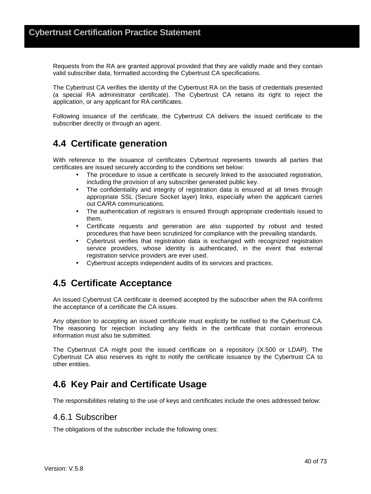Requests from the RA are granted approval provided that they are validly made and they contain valid subscriber data, formatted according the Cybertrust CA specifications.

The Cybertrust CA verifies the identity of the Cybertrust RA on the basis of credentials presented (a special RA administrator certificate). The Cybertrust CA retains its right to reject the application, or any applicant for RA certificates.

Following issuance of the certificate, the Cybertrust CA delivers the issued certificate to the subscriber directly or through an agent.

## **4.4 Certificate generation**

With reference to the issuance of certificates Cybertrust represents towards all parties that certificates are issued securely according to the conditions set below:

- The procedure to issue a certificate is securely linked to the associated registration, including the provision of any subscriber generated public key.
- The confidentiality and integrity of registration data is ensured at all times through appropriate SSL (Secure Socket layer) links, especially when the applicant carries out CA/RA communications.
- The authentication of registrars is ensured through appropriate credentials issued to them.
- Certificate requests and generation are also supported by robust and tested procedures that have been scrutinized for compliance with the prevailing standards.
- Cybertrust verifies that registration data is exchanged with recognized registration service providers, whose identity is authenticated, in the event that external registration service providers are ever used.
- Cybertrust accepts independent audits of its services and practices.

### **4.5 Certificate Acceptance**

An issued Cybertrust CA certificate is deemed accepted by the subscriber when the RA confirms the acceptance of a certificate the CA issues.

Any objection to accepting an issued certificate must explicitly be notified to the Cybertrust CA. The reasoning for rejection including any fields in the certificate that contain erroneous information must also be submitted.

The Cybertrust CA might post the issued certificate on a repository (X.500 or LDAP). The Cybertrust CA also reserves its right to notify the certificate issuance by the Cybertrust CA to other entities.

### **4.6 Key Pair and Certificate Usage**

The responsibilities relating to the use of keys and certificates include the ones addressed below:

#### 4.6.1 Subscriber

The obligations of the subscriber include the following ones: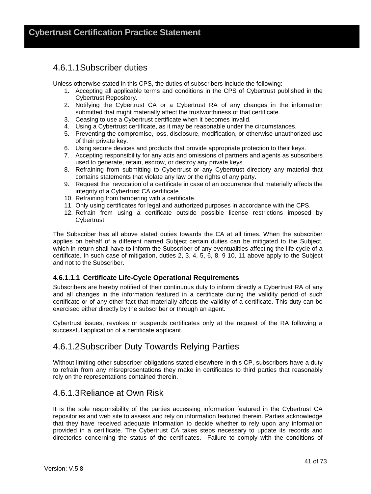#### 4.6.1.1 Subscriber duties

Unless otherwise stated in this CPS, the duties of subscribers include the following:

- 1. Accepting all applicable terms and conditions in the CPS of Cybertrust published in the Cybertrust Repository.
- 2. Notifying the Cybertrust CA or a Cybertrust RA of any changes in the information submitted that might materially affect the trustworthiness of that certificate.
- 3. Ceasing to use a Cybertrust certificate when it becomes invalid.
- 4. Using a Cybertrust certificate, as it may be reasonable under the circumstances.
- 5. Preventing the compromise, loss, disclosure, modification, or otherwise unauthorized use of their private key.
- 6. Using secure devices and products that provide appropriate protection to their keys.
- 7. Accepting responsibility for any acts and omissions of partners and agents as subscribers used to generate, retain, escrow, or destroy any private keys.
- 8. Refraining from submitting to Cybertrust or any Cybertrust directory any material that contains statements that violate any law or the rights of any party.
- 9. Request the revocation of a certificate in case of an occurrence that materially affects the integrity of a Cybertrust CA certificate.
- 10. Refraining from tampering with a certificate.
- 11. Only using certificates for legal and authorized purposes in accordance with the CPS.
- 12. Refrain from using a certificate outside possible license restrictions imposed by Cybertrust.

The Subscriber has all above stated duties towards the CA at all times. When the subscriber applies on behalf of a different named Subject certain duties can be mitigated to the Subject, which in return shall have to inform the Subscriber of any eventualities affecting the life cycle of a certificate. In such case of mitigation, duties 2, 3, 4, 5, 6, 8, 9 10, 11 above apply to the Subject and not to the Subscriber.

#### **4.6.1.1.1 Certificate Life-Cycle Operational Requirements**

Subscribers are hereby notified of their continuous duty to inform directly a Cybertrust RA of any and all changes in the information featured in a certificate during the validity period of such certificate or of any other fact that materially affects the validity of a certificate. This duty can be exercised either directly by the subscriber or through an agent.

Cybertrust issues, revokes or suspends certificates only at the request of the RA following a successful application of a certificate applicant.

#### 4.6.1.2 Subscriber Duty Towards Relying Parties

Without limiting other subscriber obligations stated elsewhere in this CP, subscribers have a duty to refrain from any misrepresentations they make in certificates to third parties that reasonably rely on the representations contained therein.

#### 4.6.1.3 Reliance at Own Risk

It is the sole responsibility of the parties accessing information featured in the Cybertrust CA repositories and web site to assess and rely on information featured therein. Parties acknowledge that they have received adequate information to decide whether to rely upon any information provided in a certificate. The Cybertrust CA takes steps necessary to update its records and directories concerning the status of the certificates. Failure to comply with the conditions of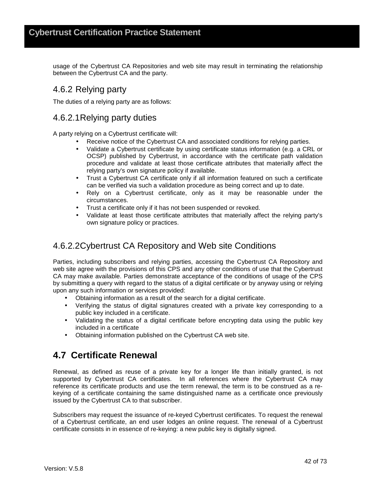usage of the Cybertrust CA Repositories and web site may result in terminating the relationship between the Cybertrust CA and the party.

#### 4.6.2 Relying party

The duties of a relying party are as follows:

#### 4.6.2.1 Relying party duties

A party relying on a Cybertrust certificate will:

- Receive notice of the Cybertrust CA and associated conditions for relying parties.
- Validate a Cybertrust certificate by using certificate status information (e.g. a CRL or OCSP) published by Cybertrust, in accordance with the certificate path validation procedure and validate at least those certificate attributes that materially affect the relying party's own signature policy if available.
- Trust a Cybertrust CA certificate only if all information featured on such a certificate can be verified via such a validation procedure as being correct and up to date.
- Rely on a Cybertrust certificate, only as it may be reasonable under the circumstances.
- Trust a certificate only if it has not been suspended or revoked.
- Validate at least those certificate attributes that materially affect the relying party's own signature policy or practices.

### 4.6.2.2 Cybertrust CA Repository and Web site Conditions

Parties, including subscribers and relying parties, accessing the Cybertrust CA Repository and web site agree with the provisions of this CPS and any other conditions of use that the Cybertrust CA may make available. Parties demonstrate acceptance of the conditions of usage of the CPS by submitting a query with regard to the status of a digital certificate or by anyway using or relying upon any such information or services provided:

- Obtaining information as a result of the search for a digital certificate.
- Verifying the status of digital signatures created with a private key corresponding to a public key included in a certificate.
- Validating the status of a digital certificate before encrypting data using the public key included in a certificate
- Obtaining information published on the Cybertrust CA web site.

### **4.7 Certificate Renewal**

Renewal, as defined as reuse of a private key for a longer life than initially granted, is not supported by Cybertrust CA certificates. In all references where the Cybertrust CA may reference its certificate products and use the term renewal, the term is to be construed as a rekeying of a certificate containing the same distinguished name as a certificate once previously issued by the Cybertrust CA to that subscriber.

Subscribers may request the issuance of re-keyed Cybertrust certificates. To request the renewal of a Cybertrust certificate, an end user lodges an online request. The renewal of a Cybertrust certificate consists in in essence of re-keying: a new public key is digitally signed.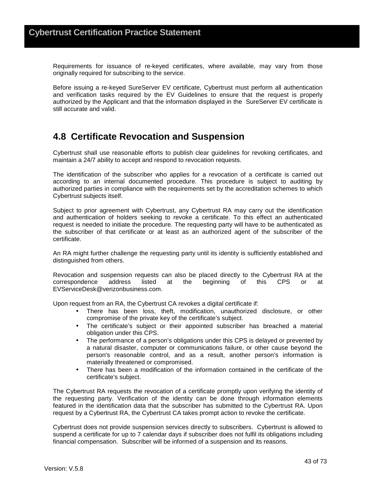Requirements for issuance of re-keyed certificates, where available, may vary from those originally required for subscribing to the service.

Before issuing a re-keyed SureServer EV certificate, Cybertrust must perform all authentication and verification tasks required by the EV Guidelines to ensure that the request is properly authorized by the Applicant and that the information displayed in the SureServer EV certificate is still accurate and valid.

### **4.8 Certificate Revocation and Suspension**

Cybertrust shall use reasonable efforts to publish clear guidelines for revoking certificates, and maintain a 24/7 ability to accept and respond to revocation requests.

The identification of the subscriber who applies for a revocation of a certificate is carried out according to an internal documented procedure. This procedure is subject to auditing by authorized parties in compliance with the requirements set by the accreditation schemes to which Cybertrust subjects itself.

Subject to prior agreement with Cybertrust, any Cybertrust RA may carry out the identification and authentication of holders seeking to revoke a certificate. To this effect an authenticated request is needed to initiate the procedure. The requesting party will have to be authenticated as the subscriber of that certificate or at least as an authorized agent of the subscriber of the certificate.

An RA might further challenge the requesting party until its identity is sufficiently established and distinguished from others.

Revocation and suspension requests can also be placed directly to the Cybertrust RA at the correspondence address listed at the beginning of this CPS or at EVServiceDesk@verizonbusiness.com.

Upon request from an RA, the Cybertrust CA revokes a digital certificate if:

- There has been loss, theft, modification, unauthorized disclosure, or other compromise of the private key of the certificate's subject.
- The certificate's subject or their appointed subscriber has breached a material obligation under this CPS.
- The performance of a person's obligations under this CPS is delayed or prevented by a natural disaster, computer or communications failure, or other cause beyond the person's reasonable control, and as a result, another person's information is materially threatened or compromised.
- There has been a modification of the information contained in the certificate of the certificate's subject.

The Cybertrust RA requests the revocation of a certificate promptly upon verifying the identity of the requesting party. Verification of the identity can be done through information elements featured in the identification data that the subscriber has submitted to the Cybertrust RA. Upon request by a Cybertrust RA, the Cybertrust CA takes prompt action to revoke the certificate.

Cybertrust does not provide suspension services directly to subscribers. Cybertrust is allowed to suspend a certificate for up to 7 calendar days if subscriber does not fulfil its obligations including financial compensation. Subscriber will be informed of a suspension and its reasons.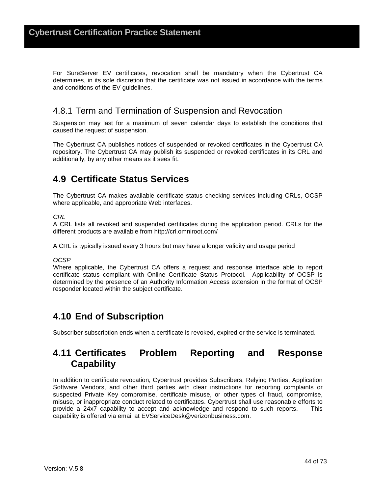For SureServer EV certificates, revocation shall be mandatory when the Cybertrust CA determines, in its sole discretion that the certificate was not issued in accordance with the terms and conditions of the EV guidelines.

#### 4.8.1 Term and Termination of Suspension and Revocation

Suspension may last for a maximum of seven calendar days to establish the conditions that caused the request of suspension.

The Cybertrust CA publishes notices of suspended or revoked certificates in the Cybertrust CA repository. The Cybertrust CA may publish its suspended or revoked certificates in its CRL and additionally, by any other means as it sees fit.

### **4.9 Certificate Status Services**

The Cybertrust CA makes available certificate status checking services including CRLs, OCSP where applicable, and appropriate Web interfaces.

#### **CRL**

A CRL lists all revoked and suspended certificates during the application period. CRLs for the different products are available from http://crl.omniroot.com/

A CRL is typically issued every 3 hours but may have a longer validity and usage period

#### OCSP

Where applicable, the Cybertrust CA offers a request and response interface able to report certificate status compliant with Online Certificate Status Protocol. Applicability of OCSP is determined by the presence of an Authority Information Access extension in the format of OCSP responder located within the subject certificate.

### **4.10 End of Subscription**

Subscriber subscription ends when a certificate is revoked, expired or the service is terminated.

### **4.11 Certificates Problem Reporting and Response Capability**

In addition to certificate revocation, Cybertrust provides Subscribers, Relying Parties, Application Software Vendors, and other third parties with clear instructions for reporting complaints or suspected Private Key compromise, certificate misuse, or other types of fraud, compromise, misuse, or inappropriate conduct related to certificates. Cybertrust shall use reasonable efforts to provide a 24x7 capability to accept and acknowledge and respond to such reports. This capability is offered via email at EVServiceDesk@verizonbusiness.com.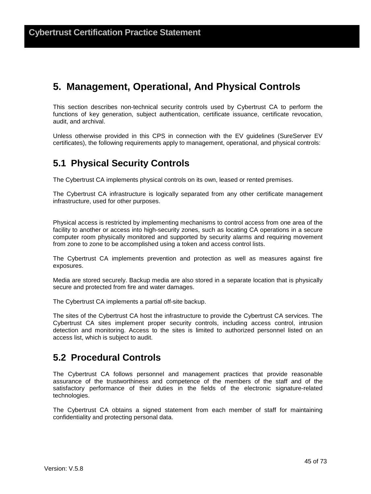# **5. Management, Operational, And Physical Controls**

This section describes non-technical security controls used by Cybertrust CA to perform the functions of key generation, subject authentication, certificate issuance, certificate revocation, audit, and archival.

Unless otherwise provided in this CPS in connection with the EV guidelines (SureServer EV certificates), the following requirements apply to management, operational, and physical controls:

### **5.1 Physical Security Controls**

The Cybertrust CA implements physical controls on its own, leased or rented premises.

The Cybertrust CA infrastructure is logically separated from any other certificate management infrastructure, used for other purposes.

Physical access is restricted by implementing mechanisms to control access from one area of the facility to another or access into high-security zones, such as locating CA operations in a secure computer room physically monitored and supported by security alarms and requiring movement from zone to zone to be accomplished using a token and access control lists.

The Cybertrust CA implements prevention and protection as well as measures against fire exposures.

Media are stored securely. Backup media are also stored in a separate location that is physically secure and protected from fire and water damages.

The Cybertrust CA implements a partial off-site backup.

The sites of the Cybertrust CA host the infrastructure to provide the Cybertrust CA services. The Cybertrust CA sites implement proper security controls, including access control, intrusion detection and monitoring. Access to the sites is limited to authorized personnel listed on an access list, which is subject to audit.

### **5.2 Procedural Controls**

The Cybertrust CA follows personnel and management practices that provide reasonable assurance of the trustworthiness and competence of the members of the staff and of the satisfactory performance of their duties in the fields of the electronic signature-related technologies.

The Cybertrust CA obtains a signed statement from each member of staff for maintaining confidentiality and protecting personal data.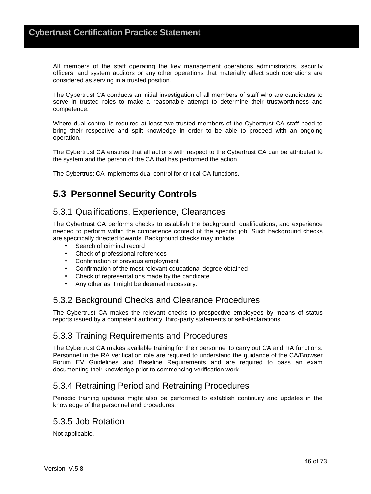All members of the staff operating the key management operations administrators, security officers, and system auditors or any other operations that materially affect such operations are considered as serving in a trusted position.

The Cybertrust CA conducts an initial investigation of all members of staff who are candidates to serve in trusted roles to make a reasonable attempt to determine their trustworthiness and competence.

Where dual control is required at least two trusted members of the Cybertrust CA staff need to bring their respective and split knowledge in order to be able to proceed with an ongoing operation.

The Cybertrust CA ensures that all actions with respect to the Cybertrust CA can be attributed to the system and the person of the CA that has performed the action.

The Cybertrust CA implements dual control for critical CA functions.

## **5.3 Personnel Security Controls**

#### 5.3.1 Qualifications, Experience, Clearances

The Cybertrust CA performs checks to establish the background, qualifications, and experience needed to perform within the competence context of the specific job. Such background checks are specifically directed towards. Background checks may include:

- Search of criminal record
- Check of professional references
- Confirmation of previous employment
- Confirmation of the most relevant educational degree obtained
- Check of representations made by the candidate.
- Any other as it might be deemed necessary.

#### 5.3.2 Background Checks and Clearance Procedures

The Cybertrust CA makes the relevant checks to prospective employees by means of status reports issued by a competent authority, third-party statements or self-declarations.

#### 5.3.3 Training Requirements and Procedures

The Cybertrust CA makes available training for their personnel to carry out CA and RA functions. Personnel in the RA verification role are required to understand the guidance of the CA/Browser Forum EV Guidelines and Baseline Requirements and are required to pass an exam documenting their knowledge prior to commencing verification work.

#### 5.3.4 Retraining Period and Retraining Procedures

Periodic training updates might also be performed to establish continuity and updates in the knowledge of the personnel and procedures.

#### 5.3.5 Job Rotation

Not applicable.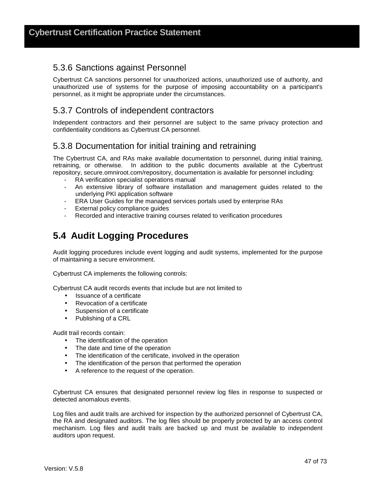#### 5.3.6 Sanctions against Personnel

Cybertrust CA sanctions personnel for unauthorized actions, unauthorized use of authority, and unauthorized use of systems for the purpose of imposing accountability on a participant's personnel, as it might be appropriate under the circumstances.

#### 5.3.7 Controls of independent contractors

Independent contractors and their personnel are subject to the same privacy protection and confidentiality conditions as Cybertrust CA personnel.

#### 5.3.8 Documentation for initial training and retraining

The Cybertrust CA, and RAs make available documentation to personnel, during initial training, retraining, or otherwise. In addition to the public documents available at the Cybertrust repository, secure.omniroot.com/repository, documentation is available for personnel including:

- RA verification specialist operations manual
- An extensive library of software installation and management guides related to the underlying PKI application software
- ERA User Guides for the managed services portals used by enterprise RAs
- External policy compliance guides
- Recorded and interactive training courses related to verification procedures

# **5.4 Audit Logging Procedures**

Audit logging procedures include event logging and audit systems, implemented for the purpose of maintaining a secure environment.

Cybertrust CA implements the following controls:

Cybertrust CA audit records events that include but are not limited to

- Issuance of a certificate
- Revocation of a certificate
- Suspension of a certificate
- Publishing of a CRL

Audit trail records contain:

- The identification of the operation
- The date and time of the operation
- The identification of the certificate, involved in the operation
- The identification of the person that performed the operation
- A reference to the request of the operation.

Cybertrust CA ensures that designated personnel review log files in response to suspected or detected anomalous events.

Log files and audit trails are archived for inspection by the authorized personnel of Cybertrust CA, the RA and designated auditors. The log files should be properly protected by an access control mechanism. Log files and audit trails are backed up and must be available to independent auditors upon request.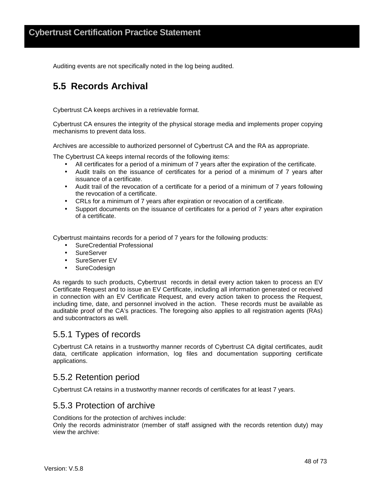Auditing events are not specifically noted in the log being audited.

## **5.5 Records Archival**

Cybertrust CA keeps archives in a retrievable format.

Cybertrust CA ensures the integrity of the physical storage media and implements proper copying mechanisms to prevent data loss.

Archives are accessible to authorized personnel of Cybertrust CA and the RA as appropriate.

The Cybertrust CA keeps internal records of the following items:

- All certificates for a period of a minimum of 7 years after the expiration of the certificate.
- Audit trails on the issuance of certificates for a period of a minimum of 7 years after issuance of a certificate.
- Audit trail of the revocation of a certificate for a period of a minimum of 7 years following the revocation of a certificate.
- CRLs for a minimum of 7 years after expiration or revocation of a certificate.
- Support documents on the issuance of certificates for a period of 7 years after expiration of a certificate.

Cybertrust maintains records for a period of 7 years for the following products:

- SureCredential Professional
- SureServer
- SureServer EV
- SureCodesign

As regards to such products, Cybertrust records in detail every action taken to process an EV Certificate Request and to issue an EV Certificate, including all information generated or received in connection with an EV Certificate Request, and every action taken to process the Request, including time, date, and personnel involved in the action. These records must be available as auditable proof of the CA's practices. The foregoing also applies to all registration agents (RAs) and subcontractors as well.

#### 5.5.1 Types of records

Cybertrust CA retains in a trustworthy manner records of Cybertrust CA digital certificates, audit data, certificate application information, log files and documentation supporting certificate applications.

#### 5.5.2 Retention period

Cybertrust CA retains in a trustworthy manner records of certificates for at least 7 years.

#### 5.5.3 Protection of archive

Conditions for the protection of archives include:

Only the records administrator (member of staff assigned with the records retention duty) may view the archive: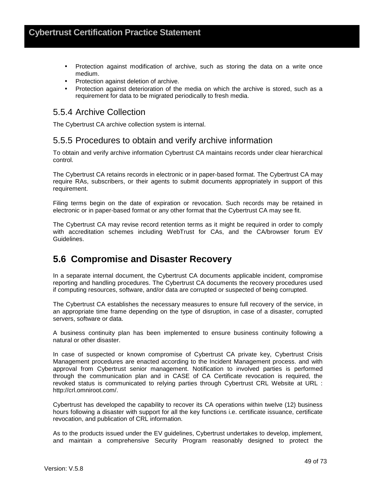- Protection against modification of archive, such as storing the data on a write once medium.
- Protection against deletion of archive.
- Protection against deterioration of the media on which the archive is stored, such as a requirement for data to be migrated periodically to fresh media.

#### 5.5.4 Archive Collection

The Cybertrust CA archive collection system is internal.

#### 5.5.5 Procedures to obtain and verify archive information

To obtain and verify archive information Cybertrust CA maintains records under clear hierarchical control.

The Cybertrust CA retains records in electronic or in paper-based format. The Cybertrust CA may require RAs, subscribers, or their agents to submit documents appropriately in support of this requirement.

Filing terms begin on the date of expiration or revocation. Such records may be retained in electronic or in paper-based format or any other format that the Cybertrust CA may see fit.

The Cybertrust CA may revise record retention terms as it might be required in order to comply with accreditation schemes including WebTrust for CAs, and the CA/browser forum EV Guidelines.

### **5.6 Compromise and Disaster Recovery**

In a separate internal document, the Cybertrust CA documents applicable incident, compromise reporting and handling procedures. The Cybertrust CA documents the recovery procedures used if computing resources, software, and/or data are corrupted or suspected of being corrupted.

The Cybertrust CA establishes the necessary measures to ensure full recovery of the service, in an appropriate time frame depending on the type of disruption, in case of a disaster, corrupted servers, software or data.

A business continuity plan has been implemented to ensure business continuity following a natural or other disaster.

In case of suspected or known compromise of Cybertrust CA private key, Cybertrust Crisis Management procedures are enacted according to the Incident Management process. and with approval from Cybertrust senior management. Notification to involved parties is performed through the communication plan and in CASE of CA Certificate revocation is required, the revoked status is communicated to relying parties through Cybertrust CRL Website at URL : http://crl.omniroot.com/.

Cybertrust has developed the capability to recover its CA operations within twelve (12) business hours following a disaster with support for all the key functions i.e. certificate issuance, certificate revocation, and publication of CRL information.

As to the products issued under the EV guidelines, Cybertrust undertakes to develop, implement, and maintain a comprehensive Security Program reasonably designed to protect the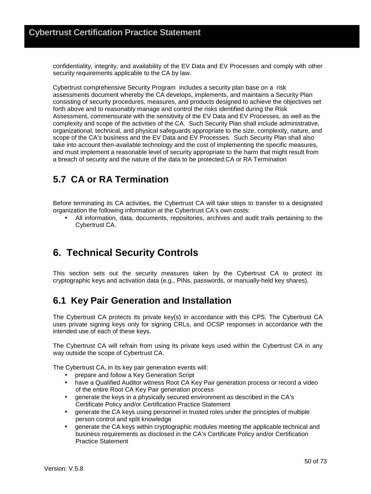confidentiality, integrity, and availability of the EV Data and EV Processes and comply with other security requirements applicable to the CA by law.

Cybertrust comprehensive Security Program includes a security plan base on a risk assessments document whereby the CA develops, implements, and maintains a Security Plan consisting of security procedures, measures, and products designed to achieve the objectives set forth above and to reasonably manage and control the risks identified during the Risk Assessment, commensurate with the sensitivity of the EV Data and EV Processes, as well as the complexity and scope of the activities of the CA. Such Security Plan shall include administrative, organizational, technical, and physical safeguards appropriate to the size, complexity, nature, and scope of the CA's business and the EV Data and EV Processes. Such Security Plan shall also take into account then-available technology and the cost of implementing the specific measures, and must implement a reasonable level of security appropriate to the harm that might result from a breach of security and the nature of the data to be protected.CA or RA Termination

# **5.7 CA or RA Termination**

Before terminating its CA activities, the Cybertrust CA will take steps to transfer to a designated organization the following information at the Cybertrust CA's own costs:

• All information, data, documents, repositories, archives and audit trails pertaining to the Cybertrust CA.

# **6. Technical Security Controls**

This section sets out the security measures taken by the Cybertrust CA to protect its cryptographic keys and activation data (e.g., PINs, passwords, or manually-held key shares).

### **6.1 Key Pair Generation and Installation**

The Cybertrust CA protects its private key(s) in accordance with this CPS. The Cybertrust CA uses private signing keys only for signing CRLs, and OCSP responses in accordance with the intended use of each of these keys.

The Cybertrust CA will refrain from using its private keys used within the Cybertrust CA in any way outside the scope of Cybertrust CA.

The Cybertrust CA, in its key pair generation events will:

- prepare and follow a Key Generation Script
- have a Qualified Auditor witness Root CA Key Pair generation process or record a video of the entire Root CA Key Pair generation process
- generate the keys in a physically secured environment as described in the CA's Certificate Policy and/or Certification Practice Statement
- generate the CA keys using personnel in trusted roles under the principles of multiple person control and split knowledge
- generate the CA keys within cryptographic modules meeting the applicable technical and business requirements as disclosed in the CA's Certificate Policy and/or Certification Practice Statement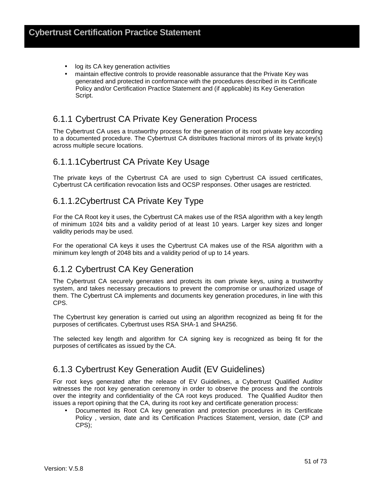- log its CA key generation activities
- maintain effective controls to provide reasonable assurance that the Private Key was generated and protected in conformance with the procedures described in its Certificate Policy and/or Certification Practice Statement and (if applicable) its Key Generation Script.

#### 6.1.1 Cybertrust CA Private Key Generation Process

The Cybertrust CA uses a trustworthy process for the generation of its root private key according to a documented procedure. The Cybertrust CA distributes fractional mirrors of its private key(s) across multiple secure locations.

#### 6.1.1.1 Cybertrust CA Private Key Usage

The private keys of the Cybertrust CA are used to sign Cybertrust CA issued certificates, Cybertrust CA certification revocation lists and OCSP responses. Other usages are restricted.

#### 6.1.1.2 Cybertrust CA Private Key Type

For the CA Root key it uses, the Cybertrust CA makes use of the RSA algorithm with a key length of minimum 1024 bits and a validity period of at least 10 years. Larger key sizes and longer validity periods may be used.

For the operational CA keys it uses the Cybertrust CA makes use of the RSA algorithm with a minimum key length of 2048 bits and a validity period of up to 14 years.

#### 6.1.2 Cybertrust CA Key Generation

The Cybertrust CA securely generates and protects its own private keys, using a trustworthy system, and takes necessary precautions to prevent the compromise or unauthorized usage of them. The Cybertrust CA implements and documents key generation procedures, in line with this CPS.

The Cybertrust key generation is carried out using an algorithm recognized as being fit for the purposes of certificates. Cybertrust uses RSA SHA-1 and SHA256.

The selected key length and algorithm for CA signing key is recognized as being fit for the purposes of certificates as issued by the CA.

#### 6.1.3 Cybertrust Key Generation Audit (EV Guidelines)

For root keys generated after the release of EV Guidelines, a Cybertrust Qualified Auditor witnesses the root key generation ceremony in order to observe the process and the controls over the integrity and confidentiality of the CA root keys produced. The Qualified Auditor then issues a report opining that the CA, during its root key and certificate generation process:

• Documented its Root CA key generation and protection procedures in its Certificate Policy , version, date and its Certification Practices Statement, version, date (CP and CPS);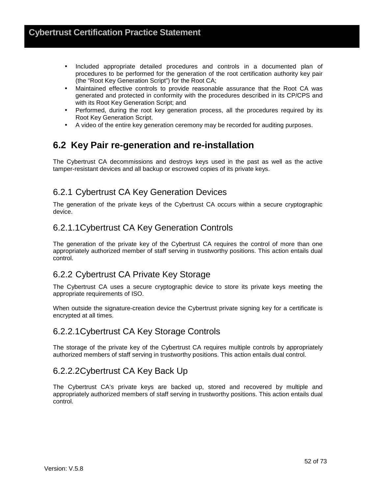- Included appropriate detailed procedures and controls in a documented plan of procedures to be performed for the generation of the root certification authority key pair (the "Root Key Generation Script") for the Root CA;
- Maintained effective controls to provide reasonable assurance that the Root CA was generated and protected in conformity with the procedures described in its CP/CPS and with its Root Key Generation Script; and
- Performed, during the root key generation process, all the procedures required by its Root Key Generation Script.
- A video of the entire key generation ceremony may be recorded for auditing purposes.

## **6.2 Key Pair re-generation and re-installation**

The Cybertrust CA decommissions and destroys keys used in the past as well as the active tamper-resistant devices and all backup or escrowed copies of its private keys.

### 6.2.1 Cybertrust CA Key Generation Devices

The generation of the private keys of the Cybertrust CA occurs within a secure cryptographic device.

#### 6.2.1.1 Cybertrust CA Key Generation Controls

The generation of the private key of the Cybertrust CA requires the control of more than one appropriately authorized member of staff serving in trustworthy positions. This action entails dual control.

### 6.2.2 Cybertrust CA Private Key Storage

The Cybertrust CA uses a secure cryptographic device to store its private keys meeting the appropriate requirements of ISO.

When outside the signature-creation device the Cybertrust private signing key for a certificate is encrypted at all times.

#### 6.2.2.1 Cybertrust CA Key Storage Controls

The storage of the private key of the Cybertrust CA requires multiple controls by appropriately authorized members of staff serving in trustworthy positions. This action entails dual control.

#### 6.2.2.2 Cybertrust CA Key Back Up

The Cybertrust CA's private keys are backed up, stored and recovered by multiple and appropriately authorized members of staff serving in trustworthy positions. This action entails dual control.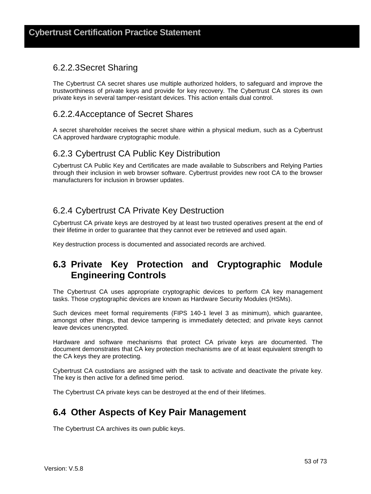#### 6.2.2.3 Secret Sharing

The Cybertrust CA secret shares use multiple authorized holders, to safeguard and improve the trustworthiness of private keys and provide for key recovery. The Cybertrust CA stores its own private keys in several tamper-resistant devices. This action entails dual control.

#### 6.2.2.4 Acceptance of Secret Shares

A secret shareholder receives the secret share within a physical medium, such as a Cybertrust CA approved hardware cryptographic module.

#### 6.2.3 Cybertrust CA Public Key Distribution

Cybertrust CA Public Key and Certificates are made available to Subscribers and Relying Parties through their inclusion in web browser software. Cybertrust provides new root CA to the browser manufacturers for inclusion in browser updates.

### 6.2.4 Cybertrust CA Private Key Destruction

Cybertrust CA private keys are destroyed by at least two trusted operatives present at the end of their lifetime in order to guarantee that they cannot ever be retrieved and used again.

Key destruction process is documented and associated records are archived.

### **6.3 Private Key Protection and Cryptographic Module Engineering Controls**

The Cybertrust CA uses appropriate cryptographic devices to perform CA key management tasks. Those cryptographic devices are known as Hardware Security Modules (HSMs).

Such devices meet formal requirements (FIPS 140-1 level 3 as minimum), which guarantee, amongst other things, that device tampering is immediately detected; and private keys cannot leave devices unencrypted.

Hardware and software mechanisms that protect CA private keys are documented. The document demonstrates that CA key protection mechanisms are of at least equivalent strength to the CA keys they are protecting.

Cybertrust CA custodians are assigned with the task to activate and deactivate the private key. The key is then active for a defined time period.

The Cybertrust CA private keys can be destroyed at the end of their lifetimes.

### **6.4 Other Aspects of Key Pair Management**

The Cybertrust CA archives its own public keys.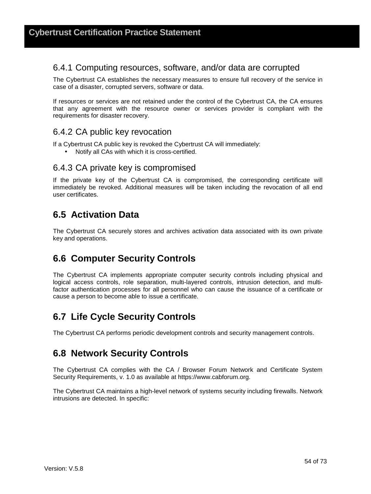#### 6.4.1 Computing resources, software, and/or data are corrupted

The Cybertrust CA establishes the necessary measures to ensure full recovery of the service in case of a disaster, corrupted servers, software or data.

If resources or services are not retained under the control of the Cybertrust CA, the CA ensures that any agreement with the resource owner or services provider is compliant with the requirements for disaster recovery.

#### 6.4.2 CA public key revocation

If a Cybertrust CA public key is revoked the Cybertrust CA will immediately:

• Notify all CAs with which it is cross-certified.

#### 6.4.3 CA private key is compromised

If the private key of the Cybertrust CA is compromised, the corresponding certificate will immediately be revoked. Additional measures will be taken including the revocation of all end user certificates.

### **6.5 Activation Data**

The Cybertrust CA securely stores and archives activation data associated with its own private key and operations.

### **6.6 Computer Security Controls**

The Cybertrust CA implements appropriate computer security controls including physical and logical access controls, role separation, multi-layered controls, intrusion detection, and multifactor authentication processes for all personnel who can cause the issuance of a certificate or cause a person to become able to issue a certificate.

# **6.7 Life Cycle Security Controls**

The Cybertrust CA performs periodic development controls and security management controls.

### **6.8 Network Security Controls**

The Cybertrust CA complies with the CA / Browser Forum Network and Certificate System Security Requirements, v. 1.0 as available at https://www.cabforum.org.

The Cybertrust CA maintains a high-level network of systems security including firewalls. Network intrusions are detected. In specific: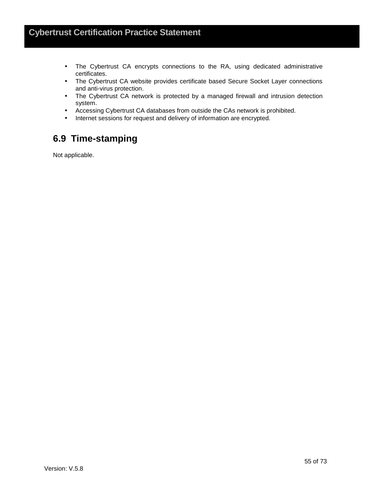- The Cybertrust CA encrypts connections to the RA, using dedicated administrative certificates.
- The Cybertrust CA website provides certificate based Secure Socket Layer connections and anti-virus protection.
- The Cybertrust CA network is protected by a managed firewall and intrusion detection system.
- Accessing Cybertrust CA databases from outside the CAs network is prohibited.
- Internet sessions for request and delivery of information are encrypted.

## **6.9 Time-stamping**

Not applicable.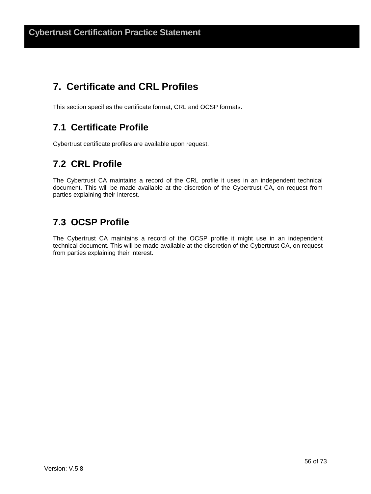# **7. Certificate and CRL Profiles**

This section specifies the certificate format, CRL and OCSP formats.

# **7.1 Certificate Profile**

Cybertrust certificate profiles are available upon request.

# **7.2 CRL Profile**

The Cybertrust CA maintains a record of the CRL profile it uses in an independent technical document. This will be made available at the discretion of the Cybertrust CA, on request from parties explaining their interest.

# **7.3 OCSP Profile**

The Cybertrust CA maintains a record of the OCSP profile it might use in an independent technical document. This will be made available at the discretion of the Cybertrust CA, on request from parties explaining their interest.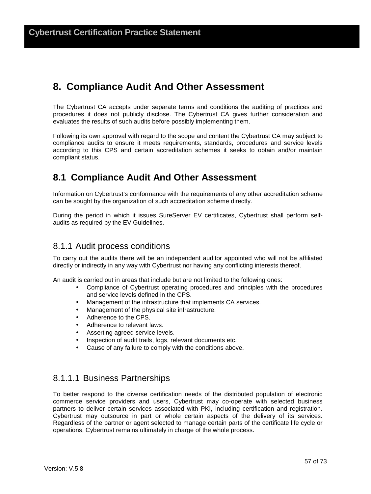# **8. Compliance Audit And Other Assessment**

The Cybertrust CA accepts under separate terms and conditions the auditing of practices and procedures it does not publicly disclose. The Cybertrust CA gives further consideration and evaluates the results of such audits before possibly implementing them.

Following its own approval with regard to the scope and content the Cybertrust CA may subject to compliance audits to ensure it meets requirements, standards, procedures and service levels according to this CPS and certain accreditation schemes it seeks to obtain and/or maintain compliant status.

### **8.1 Compliance Audit And Other Assessment**

Information on Cybertrust's conformance with the requirements of any other accreditation scheme can be sought by the organization of such accreditation scheme directly.

During the period in which it issues SureServer EV certificates, Cybertrust shall perform selfaudits as required by the EV Guidelines.

#### 8.1.1 Audit process conditions

To carry out the audits there will be an independent auditor appointed who will not be affiliated directly or indirectly in any way with Cybertrust nor having any conflicting interests thereof.

An audit is carried out in areas that include but are not limited to the following ones:

- Compliance of Cybertrust operating procedures and principles with the procedures and service levels defined in the CPS.
- Management of the infrastructure that implements CA services.
- Management of the physical site infrastructure.
- Adherence to the CPS.
- Adherence to relevant laws.
- Asserting agreed service levels.
- Inspection of audit trails, logs, relevant documents etc.
- Cause of any failure to comply with the conditions above.

#### 8.1.1.1 Business Partnerships

To better respond to the diverse certification needs of the distributed population of electronic commerce service providers and users, Cybertrust may co-operate with selected business partners to deliver certain services associated with PKI, including certification and registration. Cybertrust may outsource in part or whole certain aspects of the delivery of its services. Regardless of the partner or agent selected to manage certain parts of the certificate life cycle or operations, Cybertrust remains ultimately in charge of the whole process.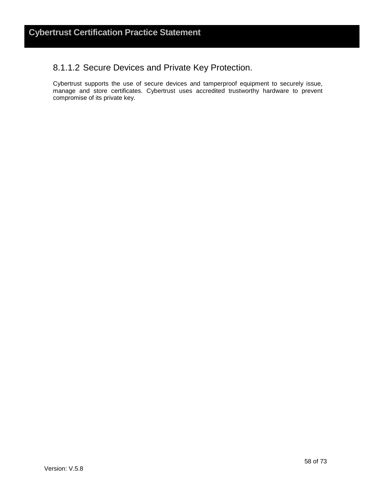#### 8.1.1.2 Secure Devices and Private Key Protection.

Cybertrust supports the use of secure devices and tamperproof equipment to securely issue, manage and store certificates. Cybertrust uses accredited trustworthy hardware to prevent compromise of its private key.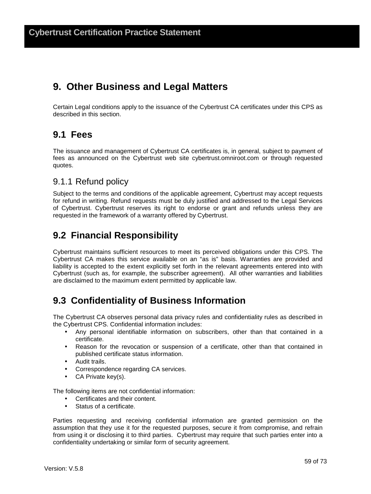# **9. Other Business and Legal Matters**

Certain Legal conditions apply to the issuance of the Cybertrust CA certificates under this CPS as described in this section.

### **9.1 Fees**

The issuance and management of Cybertrust CA certificates is, in general, subject to payment of fees as announced on the Cybertrust web site cybertrust.omniroot.com or through requested quotes.

#### 9.1.1 Refund policy

Subject to the terms and conditions of the applicable agreement, Cybertrust may accept requests for refund in writing. Refund requests must be duly justified and addressed to the Legal Services of Cybertrust. Cybertrust reserves its right to endorse or grant and refunds unless they are requested in the framework of a warranty offered by Cybertrust.

### **9.2 Financial Responsibility**

Cybertrust maintains sufficient resources to meet its perceived obligations under this CPS. The Cybertrust CA makes this service available on an "as is" basis. Warranties are provided and liability is accepted to the extent explicitly set forth in the relevant agreements entered into with Cybertrust (such as, for example, the subscriber agreement). All other warranties and liabilities are disclaimed to the maximum extent permitted by applicable law.

# **9.3 Confidentiality of Business Information**

The Cybertrust CA observes personal data privacy rules and confidentiality rules as described in the Cybertrust CPS. Confidential information includes:

- Any personal identifiable information on subscribers, other than that contained in a certificate.
- Reason for the revocation or suspension of a certificate, other than that contained in published certificate status information.
- Audit trails.
- Correspondence regarding CA services.
- CA Private key(s).

The following items are not confidential information:

- Certificates and their content.
- Status of a certificate.

Parties requesting and receiving confidential information are granted permission on the assumption that they use it for the requested purposes, secure it from compromise, and refrain from using it or disclosing it to third parties. Cybertrust may require that such parties enter into a confidentiality undertaking or similar form of security agreement.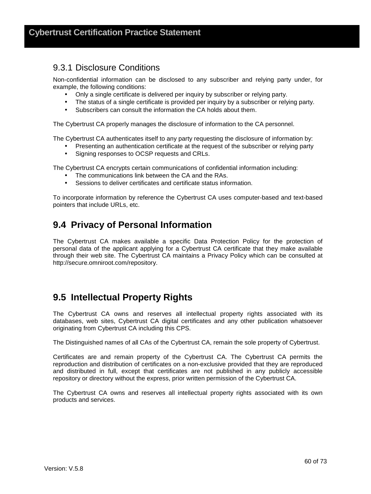#### 9.3.1 Disclosure Conditions

Non-confidential information can be disclosed to any subscriber and relying party under, for example, the following conditions:

- Only a single certificate is delivered per inquiry by subscriber or relying party.
- The status of a single certificate is provided per inquiry by a subscriber or relying party.
- Subscribers can consult the information the CA holds about them.

The Cybertrust CA properly manages the disclosure of information to the CA personnel.

The Cybertrust CA authenticates itself to any party requesting the disclosure of information by:

- Presenting an authentication certificate at the request of the subscriber or relying party
- Signing responses to OCSP requests and CRLs.

The Cybertrust CA encrypts certain communications of confidential information including:

- The communications link between the CA and the RAs.
- Sessions to deliver certificates and certificate status information.

To incorporate information by reference the Cybertrust CA uses computer-based and text-based pointers that include URLs, etc.

### **9.4 Privacy of Personal Information**

The Cybertrust CA makes available a specific Data Protection Policy for the protection of personal data of the applicant applying for a Cybertrust CA certificate that they make available through their web site. The Cybertrust CA maintains a Privacy Policy which can be consulted at http://secure.omniroot.com/repository.

### **9.5 Intellectual Property Rights**

The Cybertrust CA owns and reserves all intellectual property rights associated with its databases, web sites, Cybertrust CA digital certificates and any other publication whatsoever originating from Cybertrust CA including this CPS.

The Distinguished names of all CAs of the Cybertrust CA, remain the sole property of Cybertrust.

Certificates are and remain property of the Cybertrust CA. The Cybertrust CA permits the reproduction and distribution of certificates on a non-exclusive provided that they are reproduced and distributed in full, except that certificates are not published in any publicly accessible repository or directory without the express, prior written permission of the Cybertrust CA.

The Cybertrust CA owns and reserves all intellectual property rights associated with its own products and services.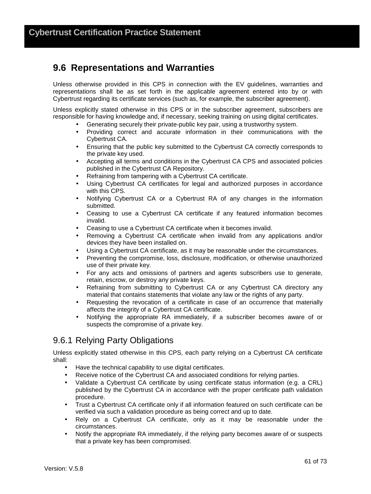### **9.6 Representations and Warranties**

Unless otherwise provided in this CPS in connection with the EV guidelines, warranties and representations shall be as set forth in the applicable agreement entered into by or with Cybertrust regarding its certificate services (such as, for example, the subscriber agreement).

Unless explicitly stated otherwise in this CPS or in the subscriber agreement, subscribers are responsible for having knowledge and, if necessary, seeking training on using digital certificates.

- Generating securely their private-public key pair, using a trustworthy system.
- Providing correct and accurate information in their communications with the Cybertrust CA.
- Ensuring that the public key submitted to the Cybertrust CA correctly corresponds to the private key used.
- Accepting all terms and conditions in the Cybertrust CA CPS and associated policies published in the Cybertrust CA Repository.
- Refraining from tampering with a Cybertrust CA certificate.
- Using Cybertrust CA certificates for legal and authorized purposes in accordance with this CPS.
- Notifying Cybertrust CA or a Cybertrust RA of any changes in the information submitted.
- Ceasing to use a Cybertrust CA certificate if any featured information becomes invalid.
- Ceasing to use a Cybertrust CA certificate when it becomes invalid.
- Removing a Cybertrust CA certificate when invalid from any applications and/or devices they have been installed on.
- Using a Cybertrust CA certificate, as it may be reasonable under the circumstances.
- Preventing the compromise, loss, disclosure, modification, or otherwise unauthorized use of their private key.
- For any acts and omissions of partners and agents subscribers use to generate, retain, escrow, or destroy any private keys.
- Refraining from submitting to Cybertrust CA or any Cybertrust CA directory any material that contains statements that violate any law or the rights of any party.
- Requesting the revocation of a certificate in case of an occurrence that materially affects the integrity of a Cybertrust CA certificate.
- Notifying the appropriate RA immediately, if a subscriber becomes aware of or suspects the compromise of a private key.

#### 9.6.1 Relying Party Obligations

Unless explicitly stated otherwise in this CPS, each party relying on a Cybertrust CA certificate shall:

- Have the technical capability to use digital certificates.
- Receive notice of the Cybertrust CA and associated conditions for relying parties.
- Validate a Cybertrust CA certificate by using certificate status information (e.g. a CRL) published by the Cybertrust CA in accordance with the proper certificate path validation procedure.
- Trust a Cybertrust CA certificate only if all information featured on such certificate can be verified via such a validation procedure as being correct and up to date.
- Rely on a Cybertrust CA certificate, only as it may be reasonable under the circumstances.
- Notify the appropriate RA immediately, if the relying party becomes aware of or suspects that a private key has been compromised.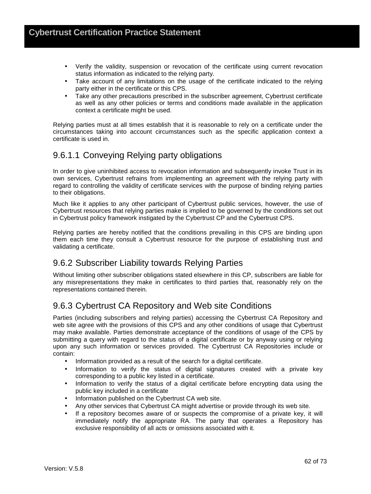- Verify the validity, suspension or revocation of the certificate using current revocation status information as indicated to the relying party.
- Take account of any limitations on the usage of the certificate indicated to the relying party either in the certificate or this CPS.
- Take any other precautions prescribed in the subscriber agreement, Cybertrust certificate as well as any other policies or terms and conditions made available in the application context a certificate might be used.

Relying parties must at all times establish that it is reasonable to rely on a certificate under the circumstances taking into account circumstances such as the specific application context a certificate is used in.

### 9.6.1.1 Conveying Relying party obligations

In order to give uninhibited access to revocation information and subsequently invoke Trust in its own services, Cybertrust refrains from implementing an agreement with the relying party with regard to controlling the validity of certificate services with the purpose of binding relying parties to their obligations.

Much like it applies to any other participant of Cybertrust public services, however, the use of Cybertrust resources that relying parties make is implied to be governed by the conditions set out in Cybertrust policy framework instigated by the Cybertrust CP and the Cybertrust CPS.

Relying parties are hereby notified that the conditions prevailing in this CPS are binding upon them each time they consult a Cybertrust resource for the purpose of establishing trust and validating a certificate.

#### 9.6.2 Subscriber Liability towards Relying Parties

Without limiting other subscriber obligations stated elsewhere in this CP, subscribers are liable for any misrepresentations they make in certificates to third parties that, reasonably rely on the representations contained therein.

### 9.6.3 Cybertrust CA Repository and Web site Conditions

Parties (including subscribers and relying parties) accessing the Cybertrust CA Repository and web site agree with the provisions of this CPS and any other conditions of usage that Cybertrust may make available. Parties demonstrate acceptance of the conditions of usage of the CPS by submitting a query with regard to the status of a digital certificate or by anyway using or relying upon any such information or services provided. The Cybertrust CA Repositories include or contain:

- Information provided as a result of the search for a digital certificate.
- Information to verify the status of digital signatures created with a private key corresponding to a public key listed in a certificate.
- Information to verify the status of a digital certificate before encrypting data using the public key included in a certificate
- Information published on the Cybertrust CA web site.
- Any other services that Cybertrust CA might advertise or provide through its web site.
- If a repository becomes aware of or suspects the compromise of a private key, it will immediately notify the appropriate RA. The party that operates a Repository has exclusive responsibility of all acts or omissions associated with it.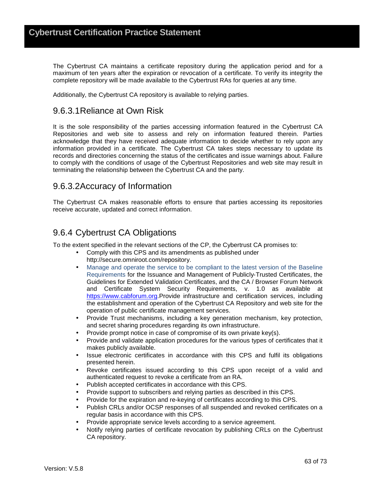The Cybertrust CA maintains a certificate repository during the application period and for a maximum of ten years after the expiration or revocation of a certificate. To verify its integrity the complete repository will be made available to the Cybertrust RAs for queries at any time.

Additionally, the Cybertrust CA repository is available to relying parties.

### 9.6.3.1 Reliance at Own Risk

It is the sole responsibility of the parties accessing information featured in the Cybertrust CA Repositories and web site to assess and rely on information featured therein. Parties acknowledge that they have received adequate information to decide whether to rely upon any information provided in a certificate. The Cybertrust CA takes steps necessary to update its records and directories concerning the status of the certificates and issue warnings about. Failure to comply with the conditions of usage of the Cybertrust Repositories and web site may result in terminating the relationship between the Cybertrust CA and the party.

#### 9.6.3.2 Accuracy of Information

The Cybertrust CA makes reasonable efforts to ensure that parties accessing its repositories receive accurate, updated and correct information.

### 9.6.4 Cybertrust CA Obligations

To the extent specified in the relevant sections of the CP, the Cybertrust CA promises to:

- Comply with this CPS and its amendments as published under http://secure.omniroot.com/repository.
- Manage and operate the service to be compliant to the latest version of the Baseline Requirements for the Issuance and Management of Publicly‐Trusted Certificates, the Guidelines for Extended Validation Certificates, and the CA / Browser Forum Network and Certificate System Security Requirements, v. 1.0 as available at https://www.cabforum.org.Provide infrastructure and certification services, including the establishment and operation of the Cybertrust CA Repository and web site for the operation of public certificate management services.
- Provide Trust mechanisms, including a key generation mechanism, key protection, and secret sharing procedures regarding its own infrastructure.
- Provide prompt notice in case of compromise of its own private key(s).
- Provide and validate application procedures for the various types of certificates that it makes publicly available.
- Issue electronic certificates in accordance with this CPS and fulfil its obligations presented herein.
- Revoke certificates issued according to this CPS upon receipt of a valid and authenticated request to revoke a certificate from an RA.
- Publish accepted certificates in accordance with this CPS.
- Provide support to subscribers and relying parties as described in this CPS.
- Provide for the expiration and re-keying of certificates according to this CPS.
- Publish CRLs and/or OCSP responses of all suspended and revoked certificates on a regular basis in accordance with this CPS.
- Provide appropriate service levels according to a service agreement.
- Notify relying parties of certificate revocation by publishing CRLs on the Cybertrust CA repository.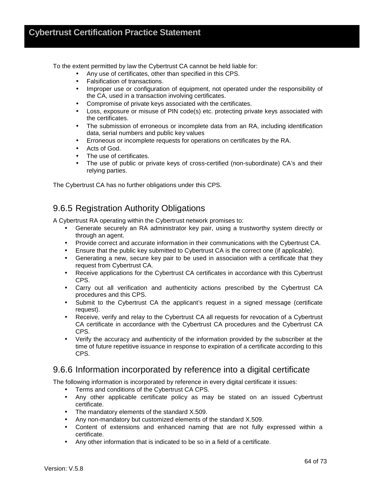To the extent permitted by law the Cybertrust CA cannot be held liable for:

- Any use of certificates, other than specified in this CPS.
- Falsification of transactions.
- Improper use or configuration of equipment, not operated under the responsibility of the CA, used in a transaction involving certificates.
- Compromise of private keys associated with the certificates.
- Loss, exposure or misuse of PIN code(s) etc. protecting private keys associated with the certificates.
- The submission of erroneous or incomplete data from an RA, including identification data, serial numbers and public key values
- Erroneous or incomplete requests for operations on certificates by the RA.
- Acts of God.
- The use of certificates.
- The use of public or private keys of cross-certified (non-subordinate) CA's and their relying parties.

The Cybertrust CA has no further obligations under this CPS.

### 9.6.5 Registration Authority Obligations

A Cybertrust RA operating within the Cybertrust network promises to:

- Generate securely an RA administrator key pair, using a trustworthy system directly or through an agent.
- Provide correct and accurate information in their communications with the Cybertrust CA.
- Ensure that the public key submitted to Cybertrust CA is the correct one (if applicable).
- Generating a new, secure key pair to be used in association with a certificate that they request from Cybertrust CA.
- Receive applications for the Cybertrust CA certificates in accordance with this Cybertrust CPS.
- Carry out all verification and authenticity actions prescribed by the Cybertrust CA procedures and this CPS.
- Submit to the Cybertrust CA the applicant's request in a signed message (certificate request).
- Receive, verify and relay to the Cybertrust CA all requests for revocation of a Cybertrust CA certificate in accordance with the Cybertrust CA procedures and the Cybertrust CA CPS.
- Verify the accuracy and authenticity of the information provided by the subscriber at the time of future repetitive issuance in response to expiration of a certificate according to this CPS.

#### 9.6.6 Information incorporated by reference into a digital certificate

The following information is incorporated by reference in every digital certificate it issues:

- Terms and conditions of the Cybertrust CA CPS.
- Any other applicable certificate policy as may be stated on an issued Cybertrust certificate.
- The mandatory elements of the standard X.509.
- Any non-mandatory but customized elements of the standard X.509.
- Content of extensions and enhanced naming that are not fully expressed within a certificate.
- Any other information that is indicated to be so in a field of a certificate.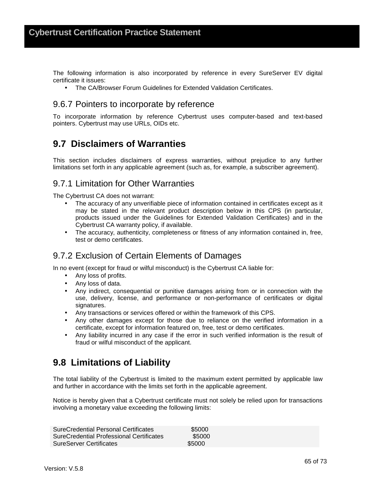The following information is also incorporated by reference in every SureServer EV digital certificate it issues:

• The CA/Browser Forum Guidelines for Extended Validation Certificates.

#### 9.6.7 Pointers to incorporate by reference

To incorporate information by reference Cybertrust uses computer-based and text-based pointers. Cybertrust may use URLs, OIDs etc.

### **9.7 Disclaimers of Warranties**

This section includes disclaimers of express warranties, without prejudice to any further limitations set forth in any applicable agreement (such as, for example, a subscriber agreement).

#### 9.7.1 Limitation for Other Warranties

The Cybertrust CA does not warrant:

- The accuracy of any unverifiable piece of information contained in certificates except as it may be stated in the relevant product description below in this CPS (in particular, products issued under the Guidelines for Extended Validation Certificates) and in the Cybertrust CA warranty policy, if available.
- The accuracy, authenticity, completeness or fitness of any information contained in, free, test or demo certificates.

#### 9.7.2 Exclusion of Certain Elements of Damages

In no event (except for fraud or wilful misconduct) is the Cybertrust CA liable for:

- Any loss of profits.
- Any loss of data.
- Any indirect, consequential or punitive damages arising from or in connection with the use, delivery, license, and performance or non-performance of certificates or digital signatures.
- Any transactions or services offered or within the framework of this CPS.
- Any other damages except for those due to reliance on the verified information in a certificate, except for information featured on, free, test or demo certificates.
- Any liability incurred in any case if the error in such verified information is the result of fraud or wilful misconduct of the applicant.

### **9.8 Limitations of Liability**

The total liability of the Cybertrust is limited to the maximum extent permitted by applicable law and further in accordance with the limits set forth in the applicable agreement.

Notice is hereby given that a Cybertrust certificate must not solely be relied upon for transactions involving a monetary value exceeding the following limits:

| SureCredential Personal Certificates     | \$5000 |  |
|------------------------------------------|--------|--|
| SureCredential Professional Certificates | \$5000 |  |
| <b>SureServer Certificates</b>           | \$5000 |  |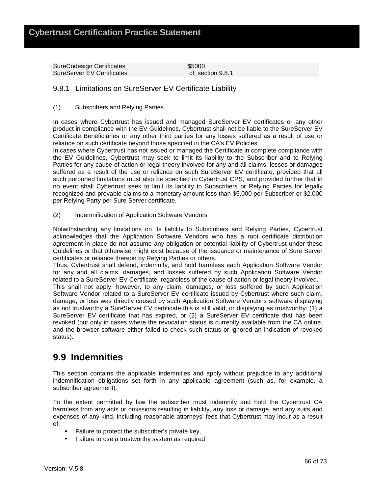SureCodesign Certificates **\$5000** SureServer EV Certificates cf. section 9.8.1

#### 9.8.1 Limitations on SureServer EV Certificate Liability

(1) Subscribers and Relying Parties

In cases where Cybertrust has issued and managed SureServer EV certificates or any other product in compliance with the EV Guidelines, Cybertrust shall not be liable to the SureServer EV Certificate Beneficiaries or any other third parties for any losses suffered as a result of use or reliance on such certificate beyond those specified in the CA's EV Policies.

In cases where Cybertrust has not issued or managed the Certificate in complete compliance with the EV Guidelines, Cybertrust may seek to limit its liability to the Subscriber and to Relying Parties for any cause of action or legal theory involved for any and all claims, losses or damages suffered as a result of the use or reliance on such SureServer EV certificate, provided that all such purported limitations must also be specified in Cybertrust CPS, and provided further that in no event shall Cybertrust seek to limit its liability to Subscribers or Relying Parties for legally recognized and provable claims to a monetary amount less than \$5,000 per Subscriber or \$2,000 per Relying Party per Sure Server certificate.

(2) Indemnification of Application Software Vendors

Notwithstanding any limitations on its liability to Subscribers and Relying Parties, Cybertrust acknowledges that the Application Software Vendors who has a root certificate distribution agreement in place do not assume any obligation or potential liability of Cybertrust under these Guidelines or that otherwise might exist because of the issuance or maintenance of Sure Server certificates or reliance thereon by Relying Parties or others.

Thus, Cybertrust shall defend, indemnify, and hold harmless each Application Software Vendor for any and all claims, damages, and losses suffered by such Application Software Vendor related to a SureServer EV Certificate, regardless of the cause of action or legal theory involved.

This shall not apply, however, to any claim, damages, or loss suffered by such Application Software Vendor related to a SureServer EV certificate issued by Cybertrust where such claim, damage, or loss was directly caused by such Application Software Vendor's software displaying as not trustworthy a SureServer EV certificate this is still valid, or displaying as trustworthy: (1) a SureServer EV certificate that has expired, or (2) a SureServer EV certificate that has been revoked (but only in cases where the revocation status is currently available from the CA online, and the browser software either failed to check such status or ignored an indication of revoked status).

### **9.9 Indemnities**

This section contains the applicable indemnities and apply without prejudice to any additional indemnification obligations set forth in any applicable agreement (such as, for example, a subscriber agreement).

To the extent permitted by law the subscriber must indemnify and hold the Cybertrust CA harmless from any acts or omissions resulting in liability, any loss or damage, and any suits and expenses of any kind, including reasonable attorneys' fees that Cybertrust may incur as a result of:

- Failure to protect the subscriber's private key,
- Failure to use a trustworthy system as required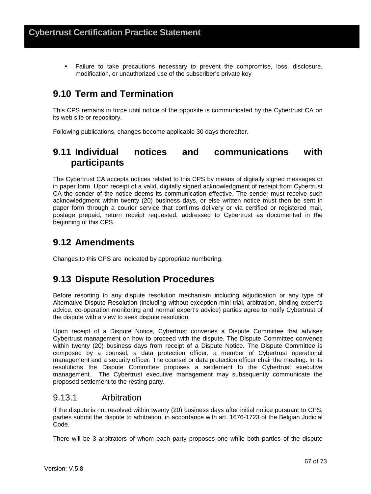• Failure to take precautions necessary to prevent the compromise, loss, disclosure, modification, or unauthorized use of the subscriber's private key

## **9.10 Term and Termination**

This CPS remains in force until notice of the opposite is communicated by the Cybertrust CA on its web site or repository.

Following publications, changes become applicable 30 days thereafter.

## **9.11 Individual notices and communications with participants**

The Cybertrust CA accepts notices related to this CPS by means of digitally signed messages or in paper form. Upon receipt of a valid, digitally signed acknowledgment of receipt from Cybertrust CA the sender of the notice deems its communication effective. The sender must receive such acknowledgment within twenty (20) business days, or else written notice must then be sent in paper form through a courier service that confirms delivery or via certified or registered mail, postage prepaid, return receipt requested, addressed to Cybertrust as documented in the beginning of this CPS.

## **9.12 Amendments**

Changes to this CPS are indicated by appropriate numbering.

## **9.13 Dispute Resolution Procedures**

Before resorting to any dispute resolution mechanism including adjudication or any type of Alternative Dispute Resolution (including without exception mini-trial, arbitration, binding expert's advice, co-operation monitoring and normal expert's advice) parties agree to notify Cybertrust of the dispute with a view to seek dispute resolution.

Upon receipt of a Dispute Notice, Cybertrust convenes a Dispute Committee that advises Cybertrust management on how to proceed with the dispute. The Dispute Committee convenes within twenty (20) business days from receipt of a Dispute Notice. The Dispute Committee is composed by a counsel, a data protection officer, a member of Cybertrust operational management and a security officer. The counsel or data protection officer chair the meeting. In its resolutions the Dispute Committee proposes a settlement to the Cybertrust executive management. The Cybertrust executive management may subsequently communicate the proposed settlement to the resting party.

### 9.13.1 Arbitration

If the dispute is not resolved within twenty (20) business days after initial notice pursuant to CPS, parties submit the dispute to arbitration, in accordance with art. 1676-1723 of the Belgian Judicial Code.

There will be 3 arbitrators of whom each party proposes one while both parties of the dispute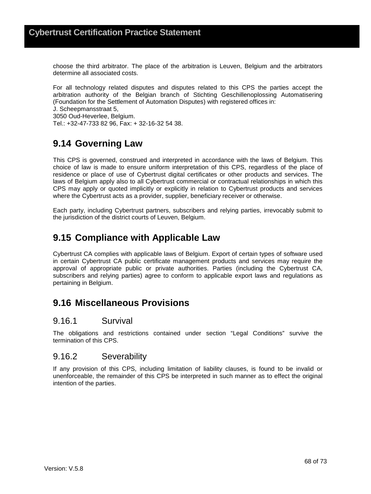choose the third arbitrator. The place of the arbitration is Leuven, Belgium and the arbitrators determine all associated costs.

For all technology related disputes and disputes related to this CPS the parties accept the arbitration authority of the Belgian branch of Stichting Geschillenoplossing Automatisering (Foundation for the Settlement of Automation Disputes) with registered offices in:

J. Scheepmansstraat 5,

3050 Oud-Heverlee, Belgium.

Tel.: +32-47-733 82 96, Fax: + 32-16-32 54 38.

# **9.14 Governing Law**

This CPS is governed, construed and interpreted in accordance with the laws of Belgium. This choice of law is made to ensure uniform interpretation of this CPS, regardless of the place of residence or place of use of Cybertrust digital certificates or other products and services. The laws of Belgium apply also to all Cybertrust commercial or contractual relationships in which this CPS may apply or quoted implicitly or explicitly in relation to Cybertrust products and services where the Cybertrust acts as a provider, supplier, beneficiary receiver or otherwise.

Each party, including Cybertrust partners, subscribers and relying parties, irrevocably submit to the jurisdiction of the district courts of Leuven, Belgium.

## **9.15 Compliance with Applicable Law**

Cybertrust CA complies with applicable laws of Belgium. Export of certain types of software used in certain Cybertrust CA public certificate management products and services may require the approval of appropriate public or private authorities. Parties (including the Cybertrust CA, subscribers and relying parties) agree to conform to applicable export laws and regulations as pertaining in Belgium.

### **9.16 Miscellaneous Provisions**

### 9.16.1 Survival

The obligations and restrictions contained under section "Legal Conditions" survive the termination of this CPS.

### 9.16.2 Severability

If any provision of this CPS, including limitation of liability clauses, is found to be invalid or unenforceable, the remainder of this CPS be interpreted in such manner as to effect the original intention of the parties.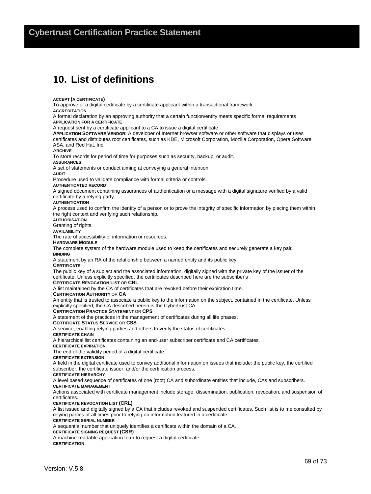# **10. List of definitions**

**ACCEPT (A CERTIFICATE)**

To approve of a digital certificate by a certificate applicant within a transactional framework.

**ACCREDITATION**

A formal declaration by an approving authority that a certain function/entity meets specific formal requirements **APPLICATION FOR A CERTIFICATE**

A request sent by a certificate applicant to a CA to issue a digital certificate

**APPLICATION SOFTWARE VENDOR**: A developer of Internet browser software or other software that displays or uses certificates and distributes root certificates, such as KDE, Microsoft Corporation, Mozilla Corporation, Opera Software ASA, and Red Hat, Inc.

A**RCHIVE**

To store records for period of time for purposes such as security, backup, or audit.

**ASSURANCES**

A set of statements or conduct aiming at conveying a general intention.

**AUDIT**

Procedure used to validate compliance with formal criteria or controls.

#### **AUTHENTICATED RECORD**

A signed document containing assurances of authentication or a message with a digital signature verified by a valid certificate by a relying party.

**AUTHENTICATION**

A process used to confirm the identity of a person or to prove the integrity of specific information by placing them within the right context and verifying such relationship.

**AUTHORISATION**

Granting of rights.

**AVAILABILITY**

The rate of accessibility of information or resources.

#### **HARDWARE MODULE**

The complete system of the hardware module used to keep the certificates and securely generate a key pair.

**BINDING**

A statement by an RA of the relationship between a named entity and its public key.

#### **CERTIFICATE**

The public key of a subject and the associated information, digitally signed with the private key of the issuer of the certificate. Unless explicitly specified, the certificates described here are the subscriber's .

#### **CERTIFICATE REVOCATION LIST** OR **CRL**

A list maintained by the CA of certificates that are revoked before their expiration time.

#### **CERTIFICATION AUTHORITY** OR **CA**

An entity that is trusted to associate a public key to the information on the subject, contained in the certificate. Unless explicitly specified, the CA described herein is the Cybertrust CA.

#### **CERTIFICATION PRACTICE STATEMENT** OR **CPS**

A statement of the practices in the management of certificates during all life phases.

#### **CERTIFICATE STATUS SERVICE** OR **CSS**

A service, enabling relying parties and others to verify the status of certificates.

**CERTIFICATE CHAIN**

A hierarchical list certificates containing an end-user subscriber certificate and CA certificates.

#### **CERTIFICATE EXPIRATION**

The end of the validity period of a digital certificate.

**CERTIFICATE EXTENSION**

A field in the digital certificate used to convey additional information on issues that include: the public key, the certified subscriber, the certificate issuer, and/or the certification process.

#### **CERTIFICATE HIERARCHY**

A level based sequence of certificates of one (root) CA and subordinate entities that include, CAs and subscribers.

#### **CERTIFICATE MANAGEMENT**

Actions associated with certificate management include storage, dissemination, publication, revocation, and suspension of certificates.

#### **CERTIFICATE REVOCATION LIST (CRL)**

A list issued and digitally signed by a CA that includes revoked and suspended certificates. Such list is to me consulted by relying parties at all times prior to relying on information featured in a certificate.

#### **CERTIFICATE SERIAL NUMBER**

A sequential number that uniquely identifies a certificate within the domain of a CA.

**CERTIFICATE SIGNING REQUEST (CSR)** 

A machine-readable application form to request a digital certificate. **CERTIFICATION**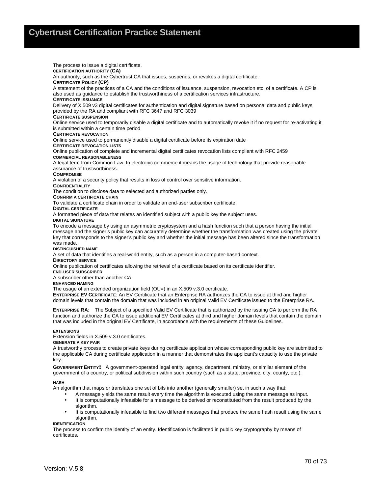The process to issue a digital certificate. **CERTIFICATION AUTHORITY (CA)**  An authority, such as the Cybertrust CA that issues, suspends, or revokes a digital certificate. **CERTIFICATE POLICY (CP)**  A statement of the practices of a CA and the conditions of issuance, suspension, revocation etc. of a certificate. A CP is also used as guidance to establish the trustworthiness of a certification services infrastructure. **CERTIFICATE ISSUANCE** Delivery of X.509 v3 digital certificates for authentication and digital signature based on personal data and public keys provided by the RA and compliant with RFC 3647 and RFC 3039 **CERTIFICATE SUSPENSION**  Online service used to temporarily disable a digital certificate and to automatically revoke it if no request for re-activating it is submitted within a certain time period **CERTIFICATE REVOCATION**  Online service used to permanently disable a digital certificate before its expiration date **CERTIFICATE REVOCATION LISTS** Online publication of complete and incremental digital certificates revocation lists compliant with RFC 2459 **COMMERCIAL REASONABLENESS** A legal term from Common Law. In electronic commerce it means the usage of technology that provide reasonable assurance of trustworthiness. **COMPROMISE** A violation of a security policy that results in loss of control over sensitive information. **CONFIDENTIALITY** The condition to disclose data to selected and authorized parties only. **CONFIRM A CERTIFICATE CHAIN** To validate a certificate chain in order to validate an end-user subscriber certificate. **DIGITAL CERTIFICATE**  A formatted piece of data that relates an identified subject with a public key the subject uses. **DIGITAL SIGNATURE** To encode a message by using an asymmetric cryptosystem and a hash function such that a person having the initial message and the signer's public key can accurately determine whether the transformation was created using the private key that corresponds to the signer's public key and whether the initial message has been altered since the transformation was made. **DISTINGUISHED NAME** A set of data that identifies a real-world entity, such as a person in a computer-based context. **DIRECTORY SERVICE**  Online publication of certificates allowing the retrieval of a certificate based on its certificate identifier. **END-USER SUBSCRIBER** A subscriber other than another CA. **ENHANCED NAMING** The usage of an extended organization field (OU=) in an X.509 v.3.0 certificate. **ENTERPRISE EV CERTIFICATE**: An EV Certificate that an Enterprise RA authorizes the CA to issue at third and higher domain levels that contain the domain that was included in an original Valid EV Certificate issued to the Enterprise RA. **ENTERPRISE RA**: The Subject of a specified Valid EV Certificate that is authorized by the issuing CA to perform the RA function and authorize the CA to issue additional EV Certificates at third and higher domain levels that contain the domain that was included in the original EV Certificate, in accordance with the requirements of these Guidelines.

#### **EXTENSIONS**

Extension fields in X.509 v.3.0 certificates.

**GENERATE A KEY PAIR**

A trustworthy process to create private keys during certificate application whose corresponding public key are submitted to the applicable CA during certificate application in a manner that demonstrates the applicant's capacity to use the private key.

**GOVERNMENT ENTITY:** A government-operated legal entity, agency, department, ministry, or similar element of the government of a country, or political subdivision within such country (such as a state, province, city, county, etc.).

#### **HASH**

An algorithm that maps or translates one set of bits into another (generally smaller) set in such a way that:

- A message yields the same result every time the algorithm is executed using the same message as input. • It is computationally infeasible for a message to be derived or reconstituted from the result produced by the algorithm.
- It is computationally infeasible to find two different messages that produce the same hash result using the same algorithm.

#### **IDENTIFICATION**

The process to confirm the identity of an entity. Identification is facilitated in public key cryptography by means of certificates.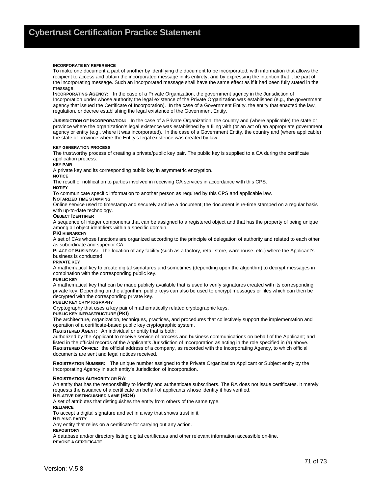#### **INCORPORATE BY REFERENCE**

To make one document a part of another by identifying the document to be incorporated, with information that allows the recipient to access and obtain the incorporated message in its entirety, and by expressing the intention that it be part of the incorporating message. Such an incorporated message shall have the same effect as if it had been fully stated in the message

**INCORPORATING AGENCY:** In the case of a Private Organization, the government agency in the Jurisdiction of Incorporation under whose authority the legal existence of the Private Organization was established (e.g., the government agency that issued the Certificate of Incorporation). In the case of a Government Entity, the entity that enacted the law, regulation, or decree establishing the legal existence of the Government Entity.

**JURISDICTION OF INCORPORATION:** In the case of a Private Organization, the country and (where applicable) the state or province where the organization's legal existence was established by a filing with (or an act of) an appropriate government agency or entity (e.g., where it was incorporated). In the case of a Government Entity, the country and (where applicable) the state or province where the Entity's legal existence was created by law.

#### **KEY GENERATION PROCESS**

The trustworthy process of creating a private/public key pair. The public key is supplied to a CA during the certificate application process.

#### **KEY PAIR**

A private key and its corresponding public key in asymmetric encryption.

#### **NOTICE**

The result of notification to parties involved in receiving CA services in accordance with this CPS.

**NOTIFY**

To communicate specific information to another person as required by this CPS and applicable law.

#### **NOTARIZED TIME STAMPING**

Online service used to timestamp and securely archive a document; the document is re-time stamped on a regular basis with up-to-date technology.

#### **OBJECT IDENTIFIER**

A sequence of integer components that can be assigned to a registered object and that has the property of being unique among all object identifiers within a specific domain.

#### **PKI HIERARCHY**

A set of CAs whose functions are organized according to the principle of delegation of authority and related to each other as subordinate and superior CA.

**PLACE OF BUSINESS:** The location of any facility (such as a factory, retail store, warehouse, etc.) where the Applicant's business is conducted

#### **PRIVATE KEY**

A mathematical key to create digital signatures and sometimes (depending upon the algorithm) to decrypt messages in combination with the corresponding public key.

#### **PUBLIC KEY**

A mathematical key that can be made publicly available that is used to verify signatures created with its corresponding private key. Depending on the algorithm, public keys can also be used to encrypt messages or files which can then be decrypted with the corresponding private key.

#### **PUBLIC KEY CRYPTOGRAPHY**

Cryptography that uses a key pair of mathematically related cryptographic keys.

#### **PUBLIC KEY INFRASTRUCTURE (PKI)**

The architecture, organization, techniques, practices, and procedures that collectively support the implementation and operation of a certificate-based public key cryptographic system.

#### **REGISTERED AGENT:** An individual or entity that is both:

authorized by the Applicant to receive service of process and business communications on behalf of the Applicant; and listed in the official records of the Applicant's Jurisdiction of Incorporation as acting in the role specified in (a) above. **REGISTERED OFFICE:** the official address of a company, as recorded with the Incorporating Agency, to which official documents are sent and legal notices received.

**REGISTRATION NUMBER:** The unique number assigned to the Private Organization Applicant or Subject entity by the Incorporating Agency in such entity's Jurisdiction of Incorporation.

#### **REGISTRATION AUTHORITY** OR **RA**:

An entity that has the responsibility to identify and authenticate subscribers. The RA does not issue certificates. It merely requests the issuance of a certificate on behalf of applicants whose identity it has verified.

#### **RELATIVE DISTINGUISHED NAME (RDN)**

A set of attributes that distinguishes the entity from others of the same type.

**RELIANCE** 

To accept a digital signature and act in a way that shows trust in it.

**RELYING PARTY**

Any entity that relies on a certificate for carrying out any action.

**REPOSITORY**

A database and/or directory listing digital certificates and other relevant information accessible on-line. **REVOKE A CERTIFICATE**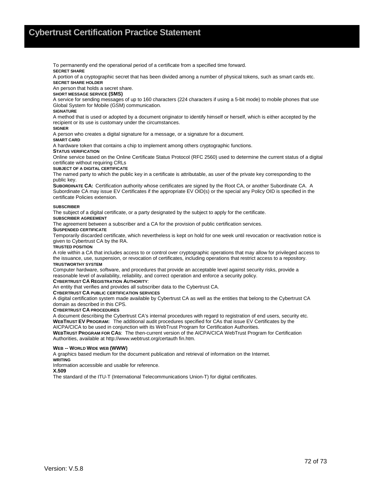To permanently end the operational period of a certificate from a specified time forward. **SECRET SHARE**

A portion of a cryptographic secret that has been divided among a number of physical tokens, such as smart cards etc. **SECRET SHARE HOLDER**

An person that holds a secret share.

#### **SHORT MESSAGE SERVICE (SMS)**

A service for sending messages of up to 160 characters (224 characters if using a 5-bit mode) to mobile phones that use Global System for Mobile (GSM) communication.

#### **SIGNATURE**

A method that is used or adopted by a document originator to identify himself or herself, which is either accepted by the recipient or its use is customary under the circumstances.

#### **SIGNER**

A person who creates a digital signature for a message, or a signature for a document.

#### **SMART CARD**

A hardware token that contains a chip to implement among others cryptographic functions.

#### **STATUS VERIFICATION**

Online service based on the Online Certificate Status Protocol (RFC 2560) used to determine the current status of a digital certificate without requiring CRLs

#### **SUBJECT OF A DIGITAL CERTIFICATE**

The named party to which the public key in a certificate is attributable, as user of the private key corresponding to the public key.

**SUBORDINATE CA:** Certification authority whose certificates are signed by the Root CA, or another Subordinate CA. A Subordinate CA may issue EV Certificates if the appropriate EV OID(s) or the special any Policy OID is specified in the certificate Policies extension.

#### **SUBSCRIBER**

The subject of a digital certificate, or a party designated by the subject to apply for the certificate.

#### **SUBSCRIBER AGREEMENT**

The agreement between a subscriber and a CA for the provision of public certification services.

#### **SUSPENDED CERTIFICATE**

Temporarily discarded certificate, which nevertheless is kept on hold for one week until revocation or reactivation notice is given to Cybertrust CA by the RA.

#### **TRUSTED POSITION**

A role within a CA that includes access to or control over cryptographic operations that may allow for privileged access to the issuance, use, suspension, or revocation of certificates, including operations that restrict access to a repository. **TRUSTWORTHY SYSTEM**

Computer hardware, software, and procedures that provide an acceptable level against security risks, provide a reasonable level of availability, reliability, and correct operation and enforce a security policy.

#### **CYBERTRUST CA REGISTRATION AUTHORITY**:

An entity that verifies and provides all subscriber data to the Cybertrust CA.

#### **CYBERTRUST CA PUBLIC CERTIFICATION SERVICES**

A digital certification system made available by Cybertrust CA as well as the entities that belong to the Cybertrust CA domain as described in this CPS.

#### **CYBERTRUST CA PROCEDURES**

A document describing the Cybertrust CA's internal procedures with regard to registration of end users, security etc. **WEBTRUST EV PROGRAM:** The additional audit procedures specified for CAs that issue EV Certificates by the AICPA/CICA to be used in conjunction with its WebTrust Program for Certification Authorities.

**WEBTRUST PROGRAM FOR CAS**: The then-current version of the AICPA/CICA WebTrust Program for Certification Authorities, available at http://www.webtrust.org/certauth fin.htm.

#### **WEB -- WORLD WIDE WEB (WWW)**

A graphics based medium for the document publication and retrieval of information on the Internet. **WRITING**

Information accessible and usable for reference.

#### **X.509**

The standard of the ITU-T (International Telecommunications Union-T) for digital certificates.